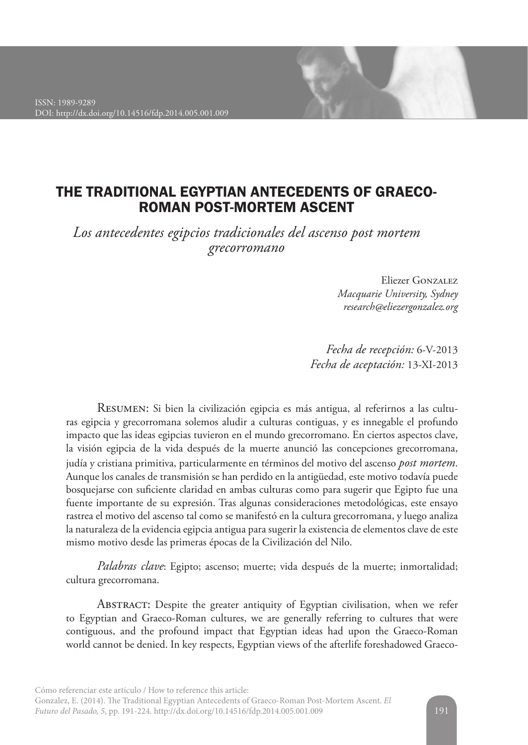

# THE TRADITIONAL EGYPTIAN ANTECEDENTS OF GRAECO-ROMAN POST-MORTEM ASCENT

*Los antecedentes egipcios tradicionales del ascenso post mortem grecorromano*

> Eliezer Gonzalez *Macquarie University, Sydney research@eliezergonzalez.org*

*Fecha de recepción:* 6-V-2013 *Fecha de aceptación:* 13-XI-2013

Resumen: Si bien la civilización egipcia es más antigua, al referirnos a las culturas egipcia y grecorromana solemos aludir a culturas contiguas, y es innegable el profundo impacto que las ideas egipcias tuvieron en el mundo grecorromano. En ciertos aspectos clave, la visión egipcia de la vida después de la muerte anunció las concepciones grecorromana, judía y cristiana primitiva, particularmente en términos del motivo del ascenso *post mortem*. Aunque los canales de transmisión se han perdido en la antigüedad, este motivo todavía puede bosquejarse con suficiente claridad en ambas culturas como para sugerir que Egipto fue una fuente importante de su expresión. Tras algunas consideraciones metodológicas, este ensayo rastrea el motivo del ascenso tal como se manifestó en la cultura grecorromana, y luego analiza la naturaleza de la evidencia egipcia antigua para sugerir la existencia de elementos clave de este mismo motivo desde las primeras épocas de la Civilización del Nilo.

*Palabras clave*: Egipto; ascenso; muerte; vida después de la muerte; inmortalidad; cultura grecorromana.

Abstract: Despite the greater antiquity of Egyptian civilisation, when we refer to Egyptian and Graeco-Roman cultures, we are generally referring to cultures that were contiguous, and the profound impact that Egyptian ideas had upon the Graeco-Roman world cannot be denied. In key respects, Egyptian views of the afterlife foreshadowed Graeco-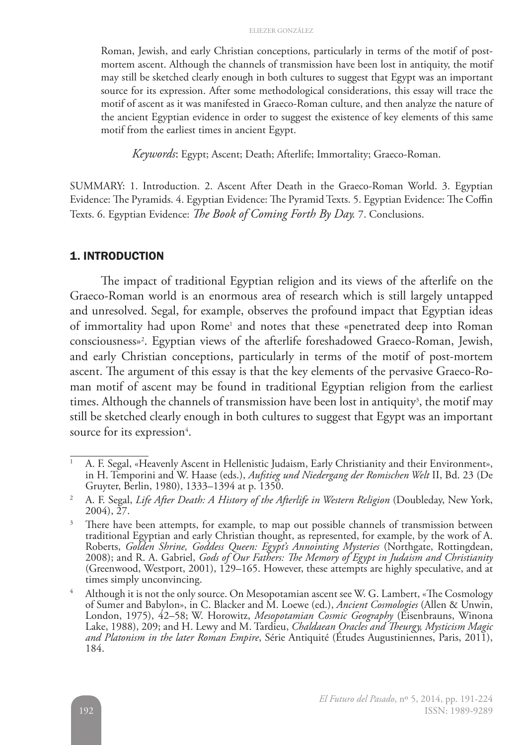Roman, Jewish, and early Christian conceptions, particularly in terms of the motif of postmortem ascent. Although the channels of transmission have been lost in antiquity, the motif may still be sketched clearly enough in both cultures to suggest that Egypt was an important source for its expression. After some methodological considerations, this essay will trace the motif of ascent as it was manifested in Graeco-Roman culture, and then analyze the nature of the ancient Egyptian evidence in order to suggest the existence of key elements of this same motif from the earliest times in ancient Egypt.

*Keywords*: Egypt; Ascent; Death; Afterlife; Immortality; Graeco-Roman.

SUMMARY: 1. Introduction. 2. Ascent After Death in the Graeco-Roman World. 3. Egyptian Evidence: The Pyramids. 4. Egyptian Evidence: The Pyramid Texts. 5. Egyptian Evidence: The Coffin Texts. 6. Egyptian Evidence: *The Book of Coming Forth By Day.* 7. Conclusions.

#### 1. INTRODUCTION

The impact of traditional Egyptian religion and its views of the afterlife on the Graeco-Roman world is an enormous area of research which is still largely untapped and unresolved. Segal, for example, observes the profound impact that Egyptian ideas of immortality had upon Rome<sup>1</sup> and notes that these «penetrated deep into Roman consciousness»2 . Egyptian views of the afterlife foreshadowed Graeco-Roman, Jewish, and early Christian conceptions, particularly in terms of the motif of post-mortem ascent. The argument of this essay is that the key elements of the pervasive Graeco-Roman motif of ascent may be found in traditional Egyptian religion from the earliest times. Although the channels of transmission have been lost in antiquity<sup>3</sup>, the motif may still be sketched clearly enough in both cultures to suggest that Egypt was an important source for its expression<sup>4</sup>.

<sup>1</sup> A. F. Segal, «Heavenly Ascent in Hellenistic Judaism, Early Christianity and their Environment», in H. Temporini and W. Haase (eds.), *Aufstieg und Niedergang der Romischen Welt* II, Bd. 23 (De Gruyter, Berlin, 1980), 1333–1394 at p. 1350.

<sup>2</sup> A. F. Segal, *Life After Death: A History of the Afterlife in Western Religion* (Doubleday, New York, 2004), 27.

<sup>&</sup>lt;sup>3</sup> There have been attempts, for example, to map out possible channels of transmission between traditional Egyptian and early Christian thought, as represented, for example, by the work of A. Roberts, *Golden Shrine, Goddess Queen: Egypt's Annointing Mysteries* (Northgate, Rottingdean, 2008); and R. A. Gabriel, *Gods of Our Fathers: The Memory of Egypt in Judaism and Christianity* (Greenwood, Westport, 2001), 129–165. However, these attempts are highly speculative, and at times simply unconvincing.

<sup>&</sup>lt;sup>4</sup> Although it is not the only source. On Mesopotamian ascent see W. G. Lambert, «The Cosmology of Sumer and Babylon», in C. Blacker and M. Loewe (ed.), *Ancient Cosmologies* (Allen & Unwin, London, 1975), 42–58; W. Horowitz, *Mesopotamian Cosmic Geography* (Eisenbrauns, Winona Lake, 1988), 209; and H. Lewy and M. Tardieu, *Chaldaean Oracles and Theurgy, Mysticism Magic and Platonism in the later Roman Empire*, Série Antiquité (Études Augustiniennes, Paris, 2011), 184.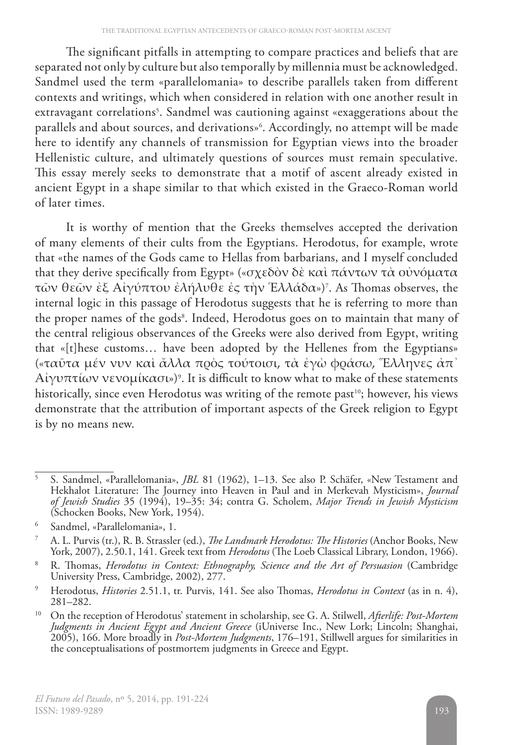The significant pitfalls in attempting to compare practices and beliefs that are separated not only by culture but also temporally by millennia must be acknowledged. Sandmel used the term «parallelomania» to describe parallels taken from different contexts and writings, which when considered in relation with one another result in extravagant correlations<sup>5</sup>. Sandmel was cautioning against «exaggerations about the parallels and about sources, and derivations»6 . Accordingly, no attempt will be made here to identify any channels of transmission for Egyptian views into the broader Hellenistic culture, and ultimately questions of sources must remain speculative. This essay merely seeks to demonstrate that a motif of ascent already existed in ancient Egypt in a shape similar to that which existed in the Graeco-Roman world of later times.

It is worthy of mention that the Greeks themselves accepted the derivation of many elements of their cults from the Egyptians. Herodotus, for example, wrote that «the names of the Gods came to Hellas from barbarians, and I myself concluded that they derive specifically from Egypt» («σχεδὸν δὲ καὶ πάντων τὰ οὐνόματα τῶν θεῶν ἐξ Αἰγύπτου ἐλήλυθε ἐς τὴν Ἑλλάδα»)7 . As Thomas observes, the internal logic in this passage of Herodotus suggests that he is referring to more than the proper names of the gods<sup>8</sup>. Indeed, Herodotus goes on to maintain that many of the central religious observances of the Greeks were also derived from Egypt, writing that «[t]hese customs… have been adopted by the Hellenes from the Egyptians» («ταῦτα μέν νυν καὶ ἄλλα πρὸς τούτοισι, τὰ ἐγὼ φράσω, Ἕλληνες ἀπ᾽  $\Lambda$ ἰγυπτίων νενομίκασι»)°. It is difficult to know what to make of these statements historically, since even Herodotus was writing of the remote past<sup>10</sup>; however, his views demonstrate that the attribution of important aspects of the Greek religion to Egypt is by no means new.

<sup>5</sup> S. Sandmel, «Parallelomania», *JBL* 81 (1962), 1–13. See also P. Schäfer, «New Testament and Hekhalot Literature: The Journey into Heaven in Paul and in Merkevah Mysticism», *Journal of Jewish Studies* 35 (1994), 19–35: 34; contra G. Scholem, *Major Trends in Jewish Mysticism* (Schocken Books, New York, 1954).

<sup>6</sup> Sandmel, «Parallelomania», 1.

<sup>7</sup> A. L. Purvis (tr.), R. B. Strassler (ed.), *The Landmark Herodotus: The Histories* (Anchor Books, New York, 2007), 2.50.1, 141. Greek text from *Herodotus* (The Loeb Classical Library, London, 1966).

<sup>8</sup> R. Thomas, *Herodotus in Context: Ethnography, Science and the Art of Persuasion* (Cambridge University Press, Cambridge, 2002), 277.

<sup>9</sup> Herodotus, *Histories* 2.51.1, tr. Purvis, 141. See also Thomas, *Herodotus in Context* (as in n. 4), 281–282.

<sup>10</sup> On the reception of Herodotus' statement in scholarship, see G. A. Stilwell, *Afterlife: Post-Mortem Judgments in Ancient Egypt and Ancient Greece* (iUniverse Inc., New Lork; Lincoln; Shanghai, 2005), 166. More broadly in *Post-Mortem Judgments*, 176–191, Stillwell argues for similarities in the conceptualisations of postmortem judgments in Greece and Egypt.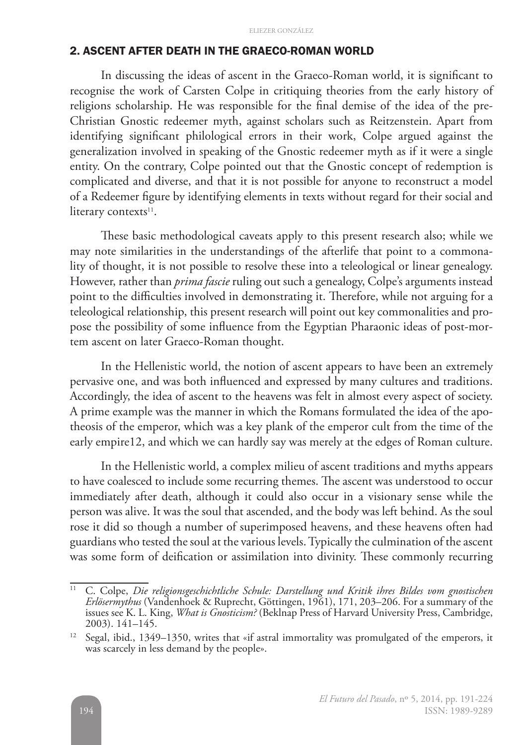### 2. ASCENT AFTER DEATH IN THE GRAECO-ROMAN WORLD

In discussing the ideas of ascent in the Graeco-Roman world, it is significant to recognise the work of Carsten Colpe in critiquing theories from the early history of religions scholarship. He was responsible for the final demise of the idea of the pre-Christian Gnostic redeemer myth, against scholars such as Reitzenstein. Apart from identifying significant philological errors in their work, Colpe argued against the generalization involved in speaking of the Gnostic redeemer myth as if it were a single entity. On the contrary, Colpe pointed out that the Gnostic concept of redemption is complicated and diverse, and that it is not possible for anyone to reconstruct a model of a Redeemer figure by identifying elements in texts without regard for their social and literary contexts<sup>11</sup>.

These basic methodological caveats apply to this present research also; while we may note similarities in the understandings of the afterlife that point to a commonality of thought, it is not possible to resolve these into a teleological or linear genealogy. However, rather than *prima fascie* ruling out such a genealogy, Colpe's arguments instead point to the difficulties involved in demonstrating it. Therefore, while not arguing for a teleological relationship, this present research will point out key commonalities and propose the possibility of some influence from the Egyptian Pharaonic ideas of post-mortem ascent on later Graeco-Roman thought.

In the Hellenistic world, the notion of ascent appears to have been an extremely pervasive one, and was both influenced and expressed by many cultures and traditions. Accordingly, the idea of ascent to the heavens was felt in almost every aspect of society. A prime example was the manner in which the Romans formulated the idea of the apotheosis of the emperor, which was a key plank of the emperor cult from the time of the early empire12, and which we can hardly say was merely at the edges of Roman culture.

In the Hellenistic world, a complex milieu of ascent traditions and myths appears to have coalesced to include some recurring themes. The ascent was understood to occur immediately after death, although it could also occur in a visionary sense while the person was alive. It was the soul that ascended, and the body was left behind. As the soul rose it did so though a number of superimposed heavens, and these heavens often had guardians who tested the soul at the various levels. Typically the culmination of the ascent was some form of deification or assimilation into divinity. These commonly recurring

<sup>11</sup> C. Colpe, *Die religionsgeschichtliche Schule: Darstellung und Kritik ihres Bildes vom gnostischen Erlösermythus* (Vandenhoek & Ruprecht, Göttingen, 1961), 171, 203–206. For a summary of the issues see K. L. King, *What is Gnosticism?* (Beklnap Press of Harvard University Press, Cambridge, 2003). 141–145.

<sup>&</sup>lt;sup>12</sup> Segal, ibid., 1349–1350, writes that «if astral immortality was promulgated of the emperors, it was scarcely in less demand by the people».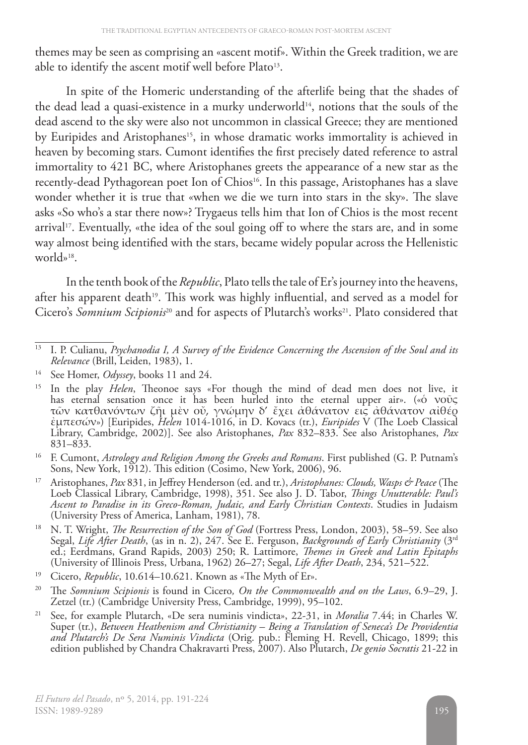themes may be seen as comprising an «ascent motif». Within the Greek tradition, we are able to identify the ascent motif well before Plato<sup>13</sup>.

In spite of the Homeric understanding of the afterlife being that the shades of the dead lead a quasi-existence in a murky underworld<sup>14</sup>, notions that the souls of the dead ascend to the sky were also not uncommon in classical Greece; they are mentioned by Euripides and Aristophanes<sup>15</sup>, in whose dramatic works immortality is achieved in heaven by becoming stars. Cumont identifies the first precisely dated reference to astral immortality to 421 BC, where Aristophanes greets the appearance of a new star as the recently-dead Pythagorean poet Ion of Chios<sup>16</sup>. In this passage, Aristophanes has a slave wonder whether it is true that «when we die we turn into stars in the sky». The slave asks «So who's a star there now»? Trygaeus tells him that Ion of Chios is the most recent arrival<sup>17</sup>. Eventually, «the idea of the soul going off to where the stars are, and in some way almost being identified with the stars, became widely popular across the Hellenistic world»18.

In the tenth book of the *Republic*, Plato tells the tale of Er's journey into the heavens, after his apparent death<sup>19</sup>. This work was highly influential, and served as a model for Cicero's *Somnium Scipionis*<sup>20</sup> and for aspects of Plutarch's works<sup>21</sup>. Plato considered that

<sup>16</sup> F. Cumont, *Astrology and Religion Among the Greeks and Romans*. First published (G. P. Putnam's Sons, New York, 1912). This edition (Cosimo, New York, 2006), 96.

<sup>17</sup> Aristophanes, *Pax* 831, in Jeffrey Henderson (ed. and tr.), *Aristophanes: Clouds, Wasps & Peace* (The Loeb Classical Library, Cambridge, 1998), 351. See also J. D. Tabor, *Things Unutterable: Paul's Ascent to Paradise in its Greco-Roman, Judaic, and Early Christian Contexts*. Studies in Judaism (University Press of America, Lanham, 1981), 78.

- <sup>18</sup> N. T. Wright, *The Resurrection of the Son of God* (Fortress Press, London, 2003), 58–59. See also Segal, *Life After Death*, (as in n. 2), 247. See E. Ferguson, *Backgrounds of Early Christianity* (3rd ed.; Eerdmans, Grand Rapids, 2003) 250; R. Lattimore, *Themes in Greek and Latin Epitaphs* (University of Illinois Press, Urbana, 1962) 26–27; Segal, *Life After Death*, 234, 521–522.
- <sup>19</sup> Cicero, *Republic*, 10.614–10.621. Known as «The Myth of Er».
- <sup>20</sup> The *Somnium Scipionis* is found in Cicero*, On the Commonwealth and on the Laws*, 6.9–29, J. Zetzel (tr.) (Cambridge University Press, Cambridge, 1999), 95–102.
- <sup>21</sup> See, for example Plutarch, «De sera numinis vindicta», 22-31, in *Moralia* 7.44; in Charles W. Super (tr.), *Between Heathenism and Christianity – Being a Translation of Seneca's De Providentia and Plutarch's De Sera Numinis Vindicta* (Orig. pub.: Fleming H. Revell, Chicago, 1899; this edition published by Chandra Chakravarti Press, 2007). Also Plutarch, *De genio Socratis* 21-22 in

<sup>13</sup> I. P. Culianu, *Psychanodia I, A Survey of the Evidence Concerning the Ascension of the Soul and its Relevance* (Brill, Leiden, 1983), 1.

<sup>14</sup> See Homer, *Odyssey*, books 11 and 24.

<sup>15</sup> In the play *Helen*, Theonoe says «For though the mind of dead men does not live, it has eternal sensation once it has been hurled into the eternal upper air». («ὁ νοῦς τῶν κατθανόντων ζῆι μὲν οὔ, γνώμην δ' ἔχει ἀθάνατον εις ἀθάνατον αἰθέρ ἐμπεσών») [Euripides, *Helen* 1014-1016, in D. Kovacs (tr.), *Euripides* V (The Loeb Classical Library, Cambridge, 2002)]. See also Aristophanes, *Pax* 832–833. See also Aristophanes, *Pax* 831–833.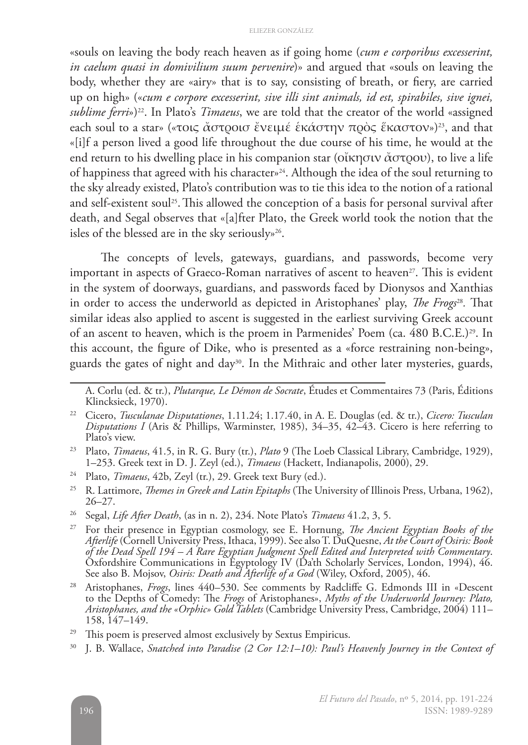«souls on leaving the body reach heaven as if going home (*cum e corporibus excesserint, in caelum quasi in domivilium suum pervenire*)» and argued that «souls on leaving the body, whether they are «airy» that is to say, consisting of breath, or fiery, are carried up on high» («*cum e corpore excesserint, sive illi sint animals, id est, spirabiles, sive ignei, sublime ferri*»)<sup>22</sup>. In Plato's *Timaeus*, we are told that the creator of the world «assigned each soul to a star» («τοις ἄστροισ ἔνειμέ ἑκάστην πρὸς ἕκαστον»)<sup>23</sup>, and that «[i]f a person lived a good life throughout the due course of his time, he would at the end return to his dwelling place in his companion star (οἴκησιν ἄστρου), to live a life of happiness that agreed with his character»24. Although the idea of the soul returning to the sky already existed, Plato's contribution was to tie this idea to the notion of a rational and self-existent soul<sup>25</sup>. This allowed the conception of a basis for personal survival after death, and Segal observes that «[a]fter Plato, the Greek world took the notion that the isles of the blessed are in the sky seriously»26.

The concepts of levels, gateways, guardians, and passwords, become very important in aspects of Graeco-Roman narratives of ascent to heaven<sup>27</sup>. This is evident in the system of doorways, guardians, and passwords faced by Dionysos and Xanthias in order to access the underworld as depicted in Aristophanes' play, *The Frogs*28*.* That similar ideas also applied to ascent is suggested in the earliest surviving Greek account of an ascent to heaven, which is the proem in Parmenides' Poem (ca. 480 B.C.E.)<sup>29</sup>. In this account, the figure of Dike, who is presented as a «force restraining non-being», guards the gates of night and day<sup>30</sup>. In the Mithraic and other later mysteries, guards,

<sup>26</sup> Segal, *Life After Death*, (as in n. 2), 234. Note Plato's *Timaeus* 41.2, 3, 5.

A. Corlu (ed. & tr.), *Plutarque, Le Démon de Socrate*, Études et Commentaires 73 (Paris, Éditions Klincksieck, 1970).

<sup>22</sup> Cicero, *Tusculanae Disputationes*, 1.11.24; 1.17.40, in A. E. Douglas (ed. & tr.), *Cicero: Tusculan Disputations I* (Aris & Phillips, Warminster, 1985), 34–35, 42–43. Cicero is here referring to Plato's view.

<sup>23</sup> Plato, *Timaeus*, 41.5, in R. G. Bury (tr.), *Plato* 9 (The Loeb Classical Library, Cambridge, 1929), 1–253. Greek text in D. J. Zeyl (ed.), *Timaeus* (Hackett, Indianapolis, 2000), 29.

<sup>24</sup> Plato, *Timaeus*, 42b, Zeyl (tr.), 29. Greek text Bury (ed.).

<sup>25</sup> R. Lattimore, *Themes in Greek and Latin Epitaphs* (The University of Illinois Press, Urbana, 1962), 26–27.

<sup>27</sup> For their presence in Egyptian cosmology, see E. Hornung, *The Ancient Egyptian Books of the Afterlife* (Cornell University Press, Ithaca, 1999). See also T. DuQuesne, *At the Court of Osiris: Book of the Dead Spell 194 – A Rare Egyptian Judgment Spell Edited and Interpreted with Commentary*. Oxfordshire Communications in Egyptology IV (Da'th Scholarly Services, London, 1994), 46. See also B. Mojsov, *Osiris: Death and Afterlife of a God* (Wiley, Oxford, 2005), 46.

<sup>28</sup> Aristophanes, *Frogs*, lines 440–530. See comments by Radcliffe G. Edmonds III in «Descent to the Depths of Comedy: The *Frogs* of Aristophanes», *Myths of the Underworld Journey: Plato, Aristophanes, and the «Orphic» Gold Tablets* (Cambridge University Press, Cambridge, 2004) 111– 158, 147–149.

This poem is preserved almost exclusively by Sextus Empiricus.

<sup>30</sup> J. B. Wallace, *Snatched into Paradise (2 Cor 12:1–10): Paul's Heavenly Journey in the Context of*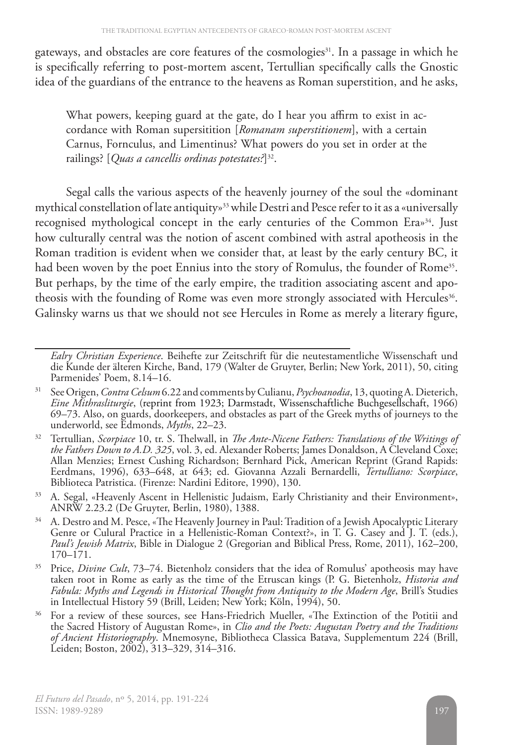gateways, and obstacles are core features of the cosmologies<sup>31</sup>. In a passage in which he is specifically referring to post-mortem ascent, Tertullian specifically calls the Gnostic idea of the guardians of the entrance to the heavens as Roman superstition, and he asks,

What powers, keeping guard at the gate, do I hear you affirm to exist in accordance with Roman supersitition [*Romanam superstitionem*], with a certain Carnus, Fornculus, and Limentinus? What powers do you set in order at the railings? [*Quas a cancellis ordinas potestates?*]32.

Segal calls the various aspects of the heavenly journey of the soul the «dominant mythical constellation of late antiquity»33while Destri and Pesce refer to it as a «universally recognised mythological concept in the early centuries of the Common Era»34. Just how culturally central was the notion of ascent combined with astral apotheosis in the Roman tradition is evident when we consider that, at least by the early century BC, it had been woven by the poet Ennius into the story of Romulus, the founder of Rome<sup>35</sup>. But perhaps, by the time of the early empire, the tradition associating ascent and apotheosis with the founding of Rome was even more strongly associated with Hercules<sup>36</sup>. Galinsky warns us that we should not see Hercules in Rome as merely a literary figure,

*Ealry Christian Experience*. Beihefte zur Zeitschrift für die neutestamentliche Wissenschaft und die Kunde der älteren Kirche, Band, 179 (Walter de Gruyter, Berlin; New York, 2011), 50, citing Parmenides' Poem, 8.14–16.

<sup>31</sup> See Origen, *Contra Celsum* 6.22 and comments by Culianu, *Psychoanodia*, 13, quoting A. Dieterich, *Eine Mithrasliturgie*, (reprint from 1923; Darmstadt, Wissenschaftliche Buchgesellschaft, 1966) 69–73. Also, on guards, doorkeepers, and obstacles as part of the Greek myths of journeys to the underworld, see Edmonds, *Myths*, 22–23.

<sup>32</sup> Tertullian, *Scorpiace* 10, tr. S. Thelwall, in *The Ante-Nicene Fathers: Translations of the Writings of the Fathers Down to A.D. 325*, vol. 3, ed. Alexander Roberts; James Donaldson, A Cleveland Coxe; Allan Menzies; Ernest Cushing Richardson; Bernhard Pick, American Reprint (Grand Rapids: Eerdmans, 1996), 633–648, at 643; ed. Giovanna Azzali Bernardelli, *Tertulliano: Scorpiace*, Biblioteca Patristica. (Firenze: Nardini Editore, 1990), 130.

<sup>&</sup>lt;sup>33</sup> A. Segal, «Heavenly Ascent in Hellenistic Judaism, Early Christianity and their Environment», ANRW 2.23.2 (De Gruyter, Berlin, 1980), 1388.

<sup>&</sup>lt;sup>34</sup> A. Destro and M. Pesce, «The Heavenly Journey in Paul: Tradition of a Jewish Apocalyptic Literary Genre or Culural Practice in a Hellenistic-Roman Context?», in T. G. Casey and J. T. (eds.), *Paul's Jewish Matrix*, Bible in Dialogue 2 (Gregorian and Biblical Press, Rome, 2011), 162–200, 170–171.

<sup>35</sup> Price, *Divine Cult*, 73–74. Bietenholz considers that the idea of Romulus' apotheosis may have taken root in Rome as early as the time of the Etruscan kings (P. G. Bietenholz, *Historia and Fabula: Myths and Legends in Historical Thought from Antiquity to the Modern Age*, Brill's Studies in Intellectual History 59 (Brill, Leiden; New York; Köln, 1994), 50.

<sup>&</sup>lt;sup>36</sup> For a review of these sources, see Hans-Friedrich Mueller, «The Extinction of the Potitii and the Sacred History of Augustan Rome», in *Clio and the Poets: Augustan Poetry and the Traditions of Ancient Historiography*. Mnemosyne, Bibliotheca Classica Batava, Supplementum 224 (Brill, Leiden; Boston, 2002), 313–329, 314–316.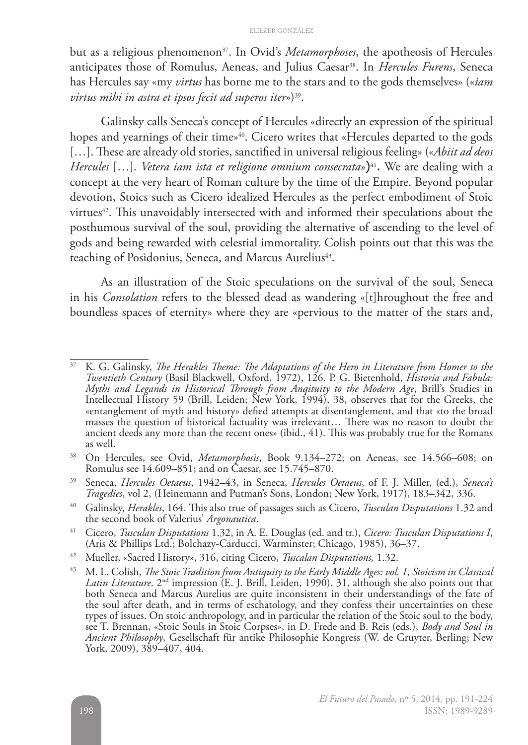but as a religious phenomenon<sup>37</sup>. In Ovid's *Metamorphoses*, the apotheosis of Hercules anticipates those of Romulus, Aeneas, and Julius Caesar<sup>38</sup>. In *Hercules Furens*, Seneca has Hercules say «my *virtus* has borne me to the stars and to the gods themselves» («*iam*  virtus mihi in astra et ipsos fecit ad superos iter»)<sup>39</sup>.

Galinsky calls Seneca's concept of Hercules «directly an expression of the spiritual hopes and yearnings of their time»<sup>40</sup>. Cicero writes that «Hercules departed to the gods [...]. These are already old stories, sanctified in universal religious feeling» («*Abiit ad deos Hercules* [...]. *Vetera iam ista et religione omnium consecrata*»)<sup>41</sup>. We are dealing with a concept at the very heart of Roman culture by the time of the Empire. Beyond popular devotion, Stoics such as Cicero idealized Hercules as the perfect embodiment of Stoic virtues<sup>42</sup>. This unavoidably intersected with and informed their speculations about the posthumous survival of the soul, providing the alternative of ascending to the level of gods and being rewarded with celestial immortality. Colish points out that this was the teaching of Posidonius, Seneca, and Marcus Aurelius<sup>43</sup>.

As an illustration of the Stoic speculations on the survival of the soul, Seneca in his *Consolation* refers to the blessed dead as wandering «[t]hroughout the free and boundless spaces of eternity» where they are «pervious to the matter of the stars and,

<sup>37</sup> K. G. Galinsky, *The Herakles Theme: The Adaptations of the Hero in Literature from Homer to the Twentieth Century* (Basil Blackwell, Oxford, 1972), 126. P. G. Bietenhold, *Historia and Fabula: Myths and Legands in Historical Through from Anqituity to the Modern Age*, Brill's Studies in Intellectual History 59 (Brill, Leiden; New York, 1994), 38, observes that for the Greeks, the «entanglement of myth and history» defied attempts at disentanglement, and that «to the broad masses the question of historical factuality was irrelevant... There was no reason to doubt the ancient deeds any more than the recent ones» (ibid., 41). This was probably true for the Romans as well.

<sup>38</sup> On Hercules, see Ovid, *Metamorphosis*, Book 9.134–272; on Aeneas, see 14.566–608; on Romulus see 14.609–851; and on Caesar, see 15.745–870.

<sup>39</sup> Seneca, *Hercules Oetaeus*, 1942–43, in Seneca, *Hercules Oetaeus*, of F. J. Miller, (ed.), *Seneca's Tragedies*, vol 2, (Heinemann and Putman's Sons, London; New York, 1917), 183–342, 336.

<sup>40</sup> Galinsky, *Herakles*, 164. This also true of passages such as Cicero, *Tusculan Disputations* 1.32 and the second book of Valerius' *Argonautica*.

<sup>41</sup> Cicero, *Tusculan Disputations* 1.32, in A. E. Douglas (ed. and tr.), *Cicero: Tusculan Disputations I*, (Aris & Phillips Ltd.; Bolchazy-Carducci, Warminster; Chicago, 1985), 36–37.

<sup>42</sup> Mueller, «Sacred History», 316, citing Cicero, *Tuscalan Disputations,* 1.32.

<sup>43</sup> M. L. Colish, *The Stoic Tradition from Antiquity to the Early Middle Ages: vol. 1, Stoicism in Classical*  Latin Literature. 2<sup>nd</sup> impression (E. J. Brill, Leiden, 1990), 31, although she also points out that both Seneca and Marcus Aurelius are quite inconsistent in their understandings of the fate of the soul after death, and in terms of eschatology, and they confess their uncertainties on these types of issues. On stoic anthropology, and in particular the relation of the Stoic soul to the body, see T. Brennan, «Stoic Souls in Stoic Corpses», in D. Frede and B. Reis (eds.), *Body and Soul in Ancient Philosophy*, Gesellschaft für antike Philosophie Kongress (W. de Gruyter, Berling; New York, 2009), 389–407, 404.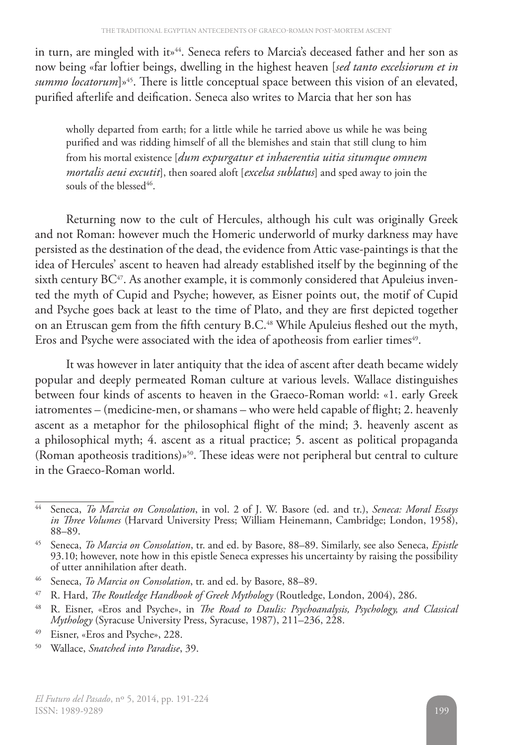in turn, are mingled with it»<sup>44</sup>. Seneca refers to Marcia's deceased father and her son as now being «far loftier beings, dwelling in the highest heaven [*sed tanto excelsiorum et in summo locatorum*]<sup>845</sup>. There is little conceptual space between this vision of an elevated, purified afterlife and deification. Seneca also writes to Marcia that her son has

wholly departed from earth; for a little while he tarried above us while he was being purified and was ridding himself of all the blemishes and stain that still clung to him from his mortal existence [*dum expurgatur et inhaerentia uitia situmque omnem mortalis aeui excutit*], then soared aloft [*excelsa sublatus*] and sped away to join the souls of the blessed<sup>46</sup>.

Returning now to the cult of Hercules, although his cult was originally Greek and not Roman: however much the Homeric underworld of murky darkness may have persisted as the destination of the dead, the evidence from Attic vase-paintings is that the idea of Hercules' ascent to heaven had already established itself by the beginning of the sixth century BC<sup>47</sup>. As another example, it is commonly considered that Apuleius invented the myth of Cupid and Psyche; however, as Eisner points out, the motif of Cupid and Psyche goes back at least to the time of Plato, and they are first depicted together on an Etruscan gem from the fifth century B.C.<sup>48</sup> While Apuleius fleshed out the myth, Eros and Psyche were associated with the idea of apotheosis from earlier times<sup>49</sup>.

It was however in later antiquity that the idea of ascent after death became widely popular and deeply permeated Roman culture at various levels. Wallace distinguishes between four kinds of ascents to heaven in the Graeco-Roman world: «1. early Greek iatromentes – (medicine-men, or shamans – who were held capable of flight; 2. heavenly ascent as a metaphor for the philosophical flight of the mind; 3. heavenly ascent as a philosophical myth; 4. ascent as a ritual practice; 5. ascent as political propaganda (Roman apotheosis traditions)»50. These ideas were not peripheral but central to culture in the Graeco-Roman world.

<sup>44</sup> Seneca, *To Marcia on Consolation*, in vol. 2 of J. W. Basore (ed. and tr.), *Seneca: Moral Essays in Three Volumes* (Harvard University Press; William Heinemann, Cambridge; London, 1958), 88–89.

<sup>45</sup> Seneca, *To Marcia on Consolation*, tr. and ed. by Basore, 88–89. Similarly, see also Seneca, *Epistle* 93.10; however, note how in this epistle Seneca expresses his uncertainty by raising the possibility of utter annihilation after death.

<sup>46</sup> Seneca, *To Marcia on Consolation*, tr. and ed. by Basore, 88–89.

<sup>47</sup> R. Hard, *The Routledge Handbook of Greek Mythology* (Routledge, London, 2004), 286.

<sup>48</sup> R. Eisner, «Eros and Psyche», in *The Road to Daulis: Psychoanalysis, Psychology, and Classical Mythology* (Syracuse University Press, Syracuse, 1987), 211–236, 228.

<sup>49</sup> Eisner, «Eros and Psyche», 228.

<sup>50</sup> Wallace, *Snatched into Paradise*, 39.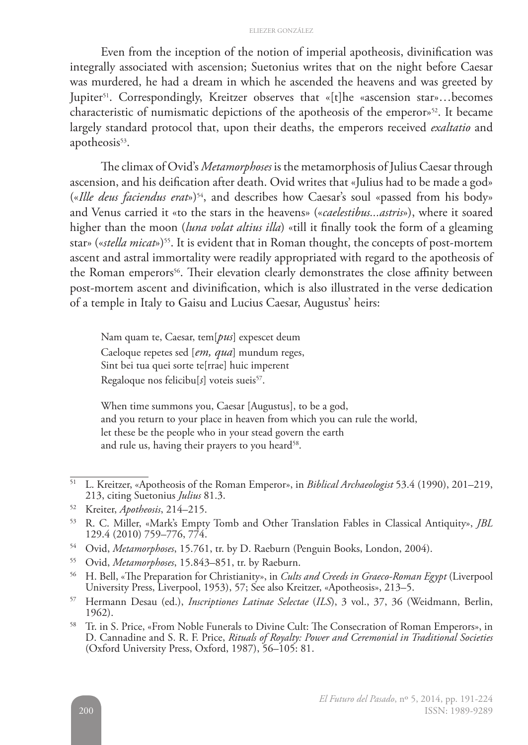#### ELIEZER GONZÁLEZ

Even from the inception of the notion of imperial apotheosis, divinification was integrally associated with ascension; Suetonius writes that on the night before Caesar was murdered, he had a dream in which he ascended the heavens and was greeted by Jupiter<sup>51</sup>. Correspondingly, Kreitzer observes that «[t]he «ascension star»...becomes characteristic of numismatic depictions of the apotheosis of the emperor»<sup>52</sup>. It became largely standard protocol that, upon their deaths, the emperors received *exaltatio* and apotheosis<sup>53</sup>.

The climax of Ovid's *Metamorphoses* is the metamorphosis of Julius Caesar through ascension, and his deification after death. Ovid writes that «Julius had to be made a god» («*Ille deus faciendus erat*»)54, and describes how Caesar's soul «passed from his body» and Venus carried it «to the stars in the heavens» («*caelestibus...astris*»), where it soared higher than the moon (*luna volat altius illa*) «till it finally took the form of a gleaming star» («*stella micat»*)<sup>55</sup>. It is evident that in Roman thought, the concepts of post-mortem ascent and astral immortality were readily appropriated with regard to the apotheosis of the Roman emperors<sup>56</sup>. Their elevation clearly demonstrates the close affinity between post-mortem ascent and divinification, which is also illustrated in the verse dedication of a temple in Italy to Gaisu and Lucius Caesar, Augustus' heirs:

Nam quam te, Caesar, tem[*pus*] expescet deum Caeloque repetes sed [*em, qua*] mundum reges, Sint bei tua quei sorte te[rrae] huic imperent Regaloque nos felicibu[s] voteis sueis<sup>57</sup>.

When time summons you, Caesar [Augustus], to be a god, and you return to your place in heaven from which you can rule the world, let these be the people who in your stead govern the earth and rule us, having their prayers to you heard<sup>58</sup>.

- <sup>54</sup> Ovid, *Metamorphoses*, 15.761, tr. by D. Raeburn (Penguin Books, London, 2004).
- <sup>55</sup> Ovid, *Metamorphoses*, 15.843–851, tr. by Raeburn.
- <sup>56</sup> H. Bell, «The Preparation for Christianity», in *Cults and Creeds in Graeco-Roman Egypt* (Liverpool University Press, Liverpool, 1953), 57; See also Kreitzer, «Apotheosis», 213–5.
- <sup>57</sup> Hermann Desau (ed.), *Inscriptiones Latinae Selectae* (*ILS*), 3 vol., 37, 36 (Weidmann, Berlin, 1962).

<sup>58</sup> Tr. in S. Price, «From Noble Funerals to Divine Cult: The Consecration of Roman Emperors», in D. Cannadine and S. R. F. Price, *Rituals of Royalty: Power and Ceremonial in Traditional Societies* (Oxford University Press, Oxford, 1987), 56–105: 81.

<sup>51</sup> L. Kreitzer, «Apotheosis of the Roman Emperor», in *Biblical Archaeologist* 53.4 (1990), 201–219, 213, citing Suetonius *Julius* 81.3.

<sup>52</sup> Kreiter, *Apotheosis*, 214–215.

<sup>53</sup> R. C. Miller, «Mark's Empty Tomb and Other Translation Fables in Classical Antiquity», *JBL* 129.4 (2010) 759–776, 774.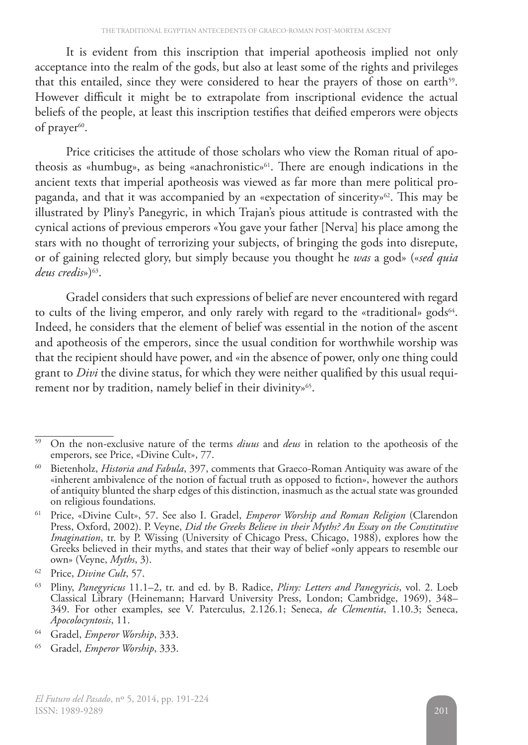It is evident from this inscription that imperial apotheosis implied not only acceptance into the realm of the gods, but also at least some of the rights and privileges that this entailed, since they were considered to hear the prayers of those on earth<sup>59</sup>. However difficult it might be to extrapolate from inscriptional evidence the actual beliefs of the people, at least this inscription testifies that deified emperors were objects of prayer<sup>60</sup>.

Price criticises the attitude of those scholars who view the Roman ritual of apotheosis as «humbug», as being «anachronistic»61. There are enough indications in the ancient texts that imperial apotheosis was viewed as far more than mere political propaganda, and that it was accompanied by an «expectation of sincerity»<sup>62</sup>. This may be illustrated by Pliny's Panegyric, in which Trajan's pious attitude is contrasted with the cynical actions of previous emperors «You gave your father [Nerva] his place among the stars with no thought of terrorizing your subjects, of bringing the gods into disrepute, or of gaining relected glory, but simply because you thought he *was* a god» («*sed quia deus credis*»)63.

Gradel considers that such expressions of belief are never encountered with regard to cults of the living emperor, and only rarely with regard to the «traditional» gods<sup>64</sup>. Indeed, he considers that the element of belief was essential in the notion of the ascent and apotheosis of the emperors, since the usual condition for worthwhile worship was that the recipient should have power, and «in the absence of power, only one thing could grant to *Divi* the divine status, for which they were neither qualified by this usual requirement nor by tradition, namely belief in their divinity»<sup>65</sup>.

<sup>59</sup> On the non-exclusive nature of the terms *diuus* and *deus* in relation to the apotheosis of the emperors, see Price, «Divine Cult», 77.

<sup>60</sup> Bietenholz, *Historia and Fabula*, 397, comments that Graeco-Roman Antiquity was aware of the «inherent ambivalence of the notion of factual truth as opposed to fiction», however the authors of antiquity blunted the sharp edges of this distinction, inasmuch as the actual state was grounded on religious foundations.

<sup>61</sup> Price, «Divine Cult», 57. See also I. Gradel, *Emperor Worship and Roman Religion* (Clarendon Press, Oxford, 2002). P. Veyne, *Did the Greeks Believe in their Myths? An Essay on the Constitutive Imagination*, tr. by P. Wissing (University of Chicago Press, Chicago, 1988), explores how the Greeks believed in their myths, and states that their way of belief «only appears to resemble our own» (Veyne, *Myths*, 3).

<sup>62</sup> Price, *Divine Cult*, 57.

<sup>63</sup> Pliny, *Panegyricus* 11.1–2, tr. and ed. by B. Radice, *Pliny: Letters and Panegyricis*, vol. 2. Loeb Classical Library (Heinemann; Harvard University Press, London; Cambridge, 1969), 348– 349. For other examples, see V. Paterculus, 2.126.1; Seneca, *de Clementia*, 1.10.3; Seneca, *Apocolocyntosis*, 11.

<sup>64</sup> Gradel, *Emperor Worship*, 333.

<sup>65</sup> Gradel, *Emperor Worship*, 333.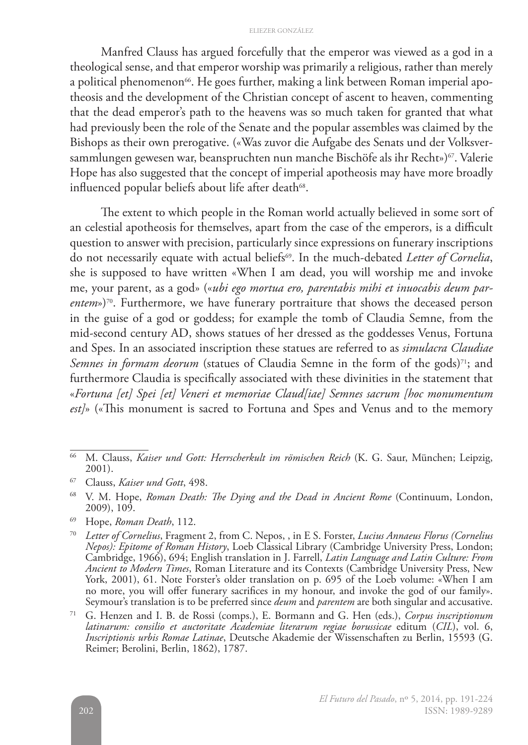#### ELIEZER GONZÁLEZ

Manfred Clauss has argued forcefully that the emperor was viewed as a god in a theological sense, and that emperor worship was primarily a religious, rather than merely a political phenomenon<sup>66</sup>. He goes further, making a link between Roman imperial apotheosis and the development of the Christian concept of ascent to heaven, commenting that the dead emperor's path to the heavens was so much taken for granted that what had previously been the role of the Senate and the popular assembles was claimed by the Bishops as their own prerogative. («Was zuvor die Aufgabe des Senats und der Volksversammlungen gewesen war, beanspruchten nun manche Bischöfe als ihr Recht»)<sup>67</sup>. Valerie Hope has also suggested that the concept of imperial apotheosis may have more broadly influenced popular beliefs about life after death<sup>68</sup>.

The extent to which people in the Roman world actually believed in some sort of an celestial apotheosis for themselves, apart from the case of the emperors, is a difficult question to answer with precision, particularly since expressions on funerary inscriptions do not necessarily equate with actual beliefs69. In the much-debated *Letter of Cornelia*, she is supposed to have written «When I am dead, you will worship me and invoke me, your parent, as a god» («*ubi ego mortua ero, parentabis mihi et inuocabis deum par*entem»)<sup>70</sup>. Furthermore, we have funerary portraiture that shows the deceased person in the guise of a god or goddess; for example the tomb of Claudia Semne, from the mid-second century AD, shows statues of her dressed as the goddesses Venus, Fortuna and Spes. In an associated inscription these statues are referred to as *simulacra Claudiae Semnes in formam deorum* (statues of Claudia Semne in the form of the gods)<sup>71</sup>; and furthermore Claudia is specifically associated with these divinities in the statement that «*Fortuna [et] Spei [et] Veneri et memoriae Claud[iae] Semnes sacrum [hoc monumentum est]*» («This monument is sacred to Fortuna and Spes and Venus and to the memory

<sup>69</sup> Hope, *Roman Death*, 112.

<sup>66</sup> M. Clauss, *Kaiser und Gott: Herrscherkult im römischen Reich* (K. G. Saur, München; Leipzig, 2001).

<sup>67</sup> Clauss, *Kaiser und Gott*, 498.

<sup>68</sup> V. M. Hope, *Roman Death: The Dying and the Dead in Ancient Rome* (Continuum, London, 2009), 109.

<sup>70</sup> *Letter of Cornelius*, Fragment 2, from C. Nepos, , in E S. Forster, *Lucius Annaeus Florus (Cornelius Nepos): Epitome of Roman History*, Loeb Classical Library (Cambridge University Press, London; Cambridge, 1966), 694; English translation in J. Farrell, *Latin Language and Latin Culture: From Ancient to Modern Times*, Roman Literature and its Contexts (Cambridge University Press, New York, 2001), 61. Note Forster's older translation on p. 695 of the Loeb volume: «When I am no more, you will offer funerary sacrifices in my honour, and invoke the god of our family». Seymour's translation is to be preferred since *deum* and *parentem* are both singular and accusative.

<sup>71</sup> G. Henzen and I. B. de Rossi (comps.), E. Bormann and G. Hen (eds.), *Corpus inscriptionum latinarum: consilio et auctoritate Academiae literarum regiae borussicae* editum (*CIL*), vol. 6, *Inscriptionis urbis Romae Latinae*, Deutsche Akademie der Wissenschaften zu Berlin, 15593 (G. Reimer; Berolini, Berlin, 1862), 1787.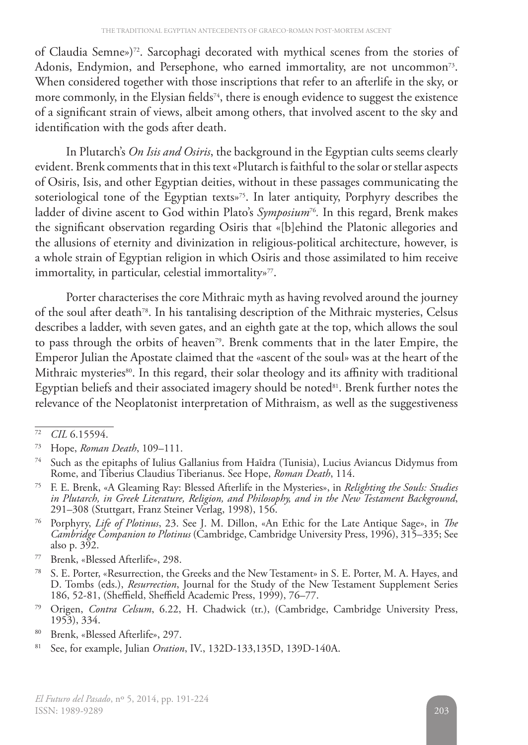of Claudia Semne»)72. Sarcophagi decorated with mythical scenes from the stories of Adonis, Endymion, and Persephone, who earned immortality, are not uncommon<sup>73</sup>. When considered together with those inscriptions that refer to an afterlife in the sky, or more commonly, in the Elysian fields<sup>74</sup>, there is enough evidence to suggest the existence of a significant strain of views, albeit among others, that involved ascent to the sky and identification with the gods after death.

In Plutarch's *On Isis and Osiris*, the background in the Egyptian cults seems clearly evident. Brenk comments that in this text «Plutarch is faithful to the solar or stellar aspects of Osiris, Isis, and other Egyptian deities, without in these passages communicating the soteriological tone of the Egyptian texts»<sup>75</sup>. In later antiquity, Porphyry describes the ladder of divine ascent to God within Plato's *Symposium*76*.* In this regard, Brenk makes the significant observation regarding Osiris that «[b]ehind the Platonic allegories and the allusions of eternity and divinization in religious-political architecture, however, is a whole strain of Egyptian religion in which Osiris and those assimilated to him receive immortality, in particular, celestial immortality»<sup>77</sup>.

Porter characterises the core Mithraic myth as having revolved around the journey of the soul after death78. In his tantalising description of the Mithraic mysteries, Celsus describes a ladder, with seven gates, and an eighth gate at the top, which allows the soul to pass through the orbits of heaven<sup>79</sup>. Brenk comments that in the later Empire, the Emperor Julian the Apostate claimed that the «ascent of the soul» was at the heart of the Mithraic mysteries<sup>80</sup>. In this regard, their solar theology and its affinity with traditional Egyptian beliefs and their associated imagery should be noted<sup>81</sup>. Brenk further notes the relevance of the Neoplatonist interpretation of Mithraism, as well as the suggestiveness

- <sup>76</sup> Porphyry, *Life of Plotinus*, 23. See J. M. Dillon, «An Ethic for the Late Antique Sage», in *The Cambridge Companion to Plotinus* (Cambridge, Cambridge University Press, 1996), 315–335; See also p. 392.
- <sup>77</sup> Brenk, «Blessed Afterlife», 298.
- <sup>78</sup> S. E. Porter, «Resurrection, the Greeks and the New Testament» in S. E. Porter, M. A. Hayes, and D. Tombs (eds.), *Resurrection*, Journal for the Study of the New Testament Supplement Series 186, 52-81, (Sheffield, Sheffield Academic Press, 1999), 76–77.
- <sup>79</sup> Origen, *Contra Celsum*, 6.22, H. Chadwick (tr.), (Cambridge, Cambridge University Press, 1953), 334.

<sup>72</sup> *CIL* 6.15594.

<sup>73</sup> Hope, *Roman Death*, 109–111.

<sup>74</sup> Such as the epitaphs of Iulius Gallanius from Haīdra (Tunisia), Lucius Aviancus Didymus from Rome, and Tiberius Claudius Tiberianus. See Hope, *Roman Death*, 114.

<sup>75</sup> F. E. Brenk, «A Gleaming Ray: Blessed Afterlife in the Mysteries», in *Relighting the Souls: Studies in Plutarch, in Greek Literature, Religion, and Philosophy, and in the New Testament Background*, 291–308 (Stuttgart, Franz Steiner Verlag, 1998), 156.

<sup>80</sup> Brenk, «Blessed Afterlife», 297.

<sup>81</sup> See, for example, Julian *Oration*, IV., 132D-133,135D, 139D-140A.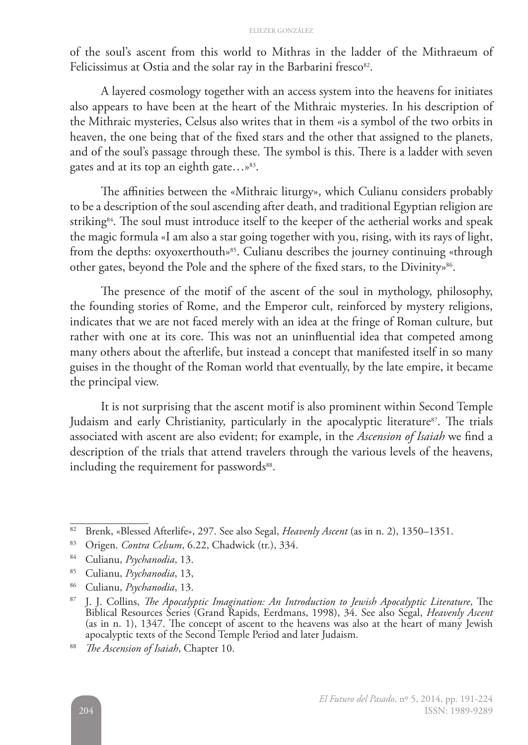#### ELIEZER GONZÁLEZ

of the soul's ascent from this world to Mithras in the ladder of the Mithraeum of Felicissimus at Ostia and the solar ray in the Barbarini fresco<sup>82</sup>.

A layered cosmology together with an access system into the heavens for initiates also appears to have been at the heart of the Mithraic mysteries. In his description of the Mithraic mysteries, Celsus also writes that in them «is a symbol of the two orbits in heaven, the one being that of the fixed stars and the other that assigned to the planets, and of the soul's passage through these. The symbol is this. There is a ladder with seven gates and at its top an eighth gate…»83.

The affinities between the «Mithraic liturgy», which Culianu considers probably to be a description of the soul ascending after death, and traditional Egyptian religion are striking<sup>84</sup>. The soul must introduce itself to the keeper of the aetherial works and speak the magic formula «I am also a star going together with you, rising, with its rays of light, from the depths: oxyoxerthouth»<sup>85</sup>. Culianu describes the journey continuing «through other gates, beyond the Pole and the sphere of the fixed stars, to the Divinity»<sup>86</sup>.

The presence of the motif of the ascent of the soul in mythology, philosophy, the founding stories of Rome, and the Emperor cult, reinforced by mystery religions, indicates that we are not faced merely with an idea at the fringe of Roman culture, but rather with one at its core. This was not an uninfluential idea that competed among many others about the afterlife, but instead a concept that manifested itself in so many guises in the thought of the Roman world that eventually, by the late empire, it became the principal view.

It is not surprising that the ascent motif is also prominent within Second Temple Judaism and early Christianity, particularly in the apocalyptic literature<sup>87</sup>. The trials associated with ascent are also evident; for example, in the *Ascension of Isaiah* we find a description of the trials that attend travelers through the various levels of the heavens, including the requirement for passwords<sup>88</sup>.

<sup>82</sup> Brenk, «Blessed Afterlife», 297. See also Segal, *Heavenly Ascent* (as in n. 2), 1350–1351.

<sup>83</sup> Origen. *Contra Celsum*, 6.22, Chadwick (tr.), 334.

<sup>84</sup> Culianu, *Psychanodia*, 13.

<sup>85</sup> Culianu, *Psychanodia*, 13,

<sup>86</sup> Culianu, *Psychanodia*, 13.

<sup>87</sup> J. J. Collins, *The Apocalyptic Imagination: An Introduction to Jewish Apocalyptic Literature*, The Biblical Resources Series (Grand Rapids, Eerdmans, 1998), 34. See also Segal, *Heavenly Ascent* (as in n. 1), 1347. The concept of ascent to the heavens was also at the heart of many Jewish apocalyptic texts of the Second Temple Period and later Judaism.

<sup>88</sup> *The Ascension of Isaiah*, Chapter 10.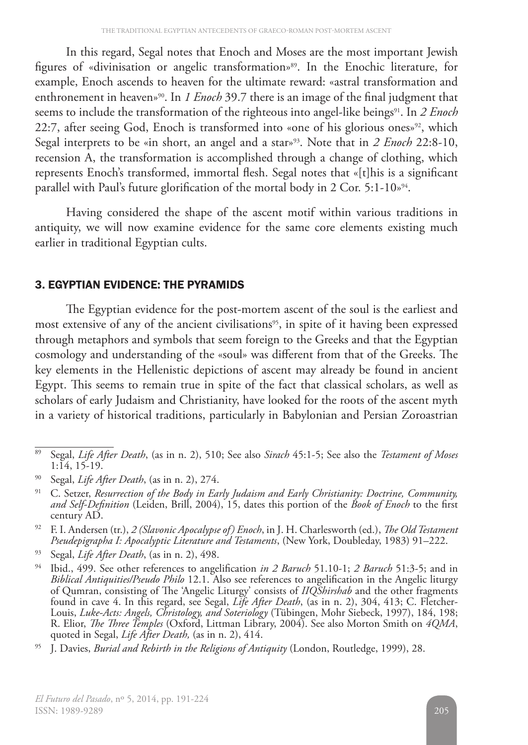In this regard, Segal notes that Enoch and Moses are the most important Jewish figures of «divinisation or angelic transformation»89. In the Enochic literature, for example, Enoch ascends to heaven for the ultimate reward: «astral transformation and enthronement in heaven<sup>90</sup>. In *1 Enoch* 39.7 there is an image of the final judgment that seems to include the transformation of the righteous into angel-like beings<sup>91</sup>. In 2 Enoch 22:7, after seeing God, Enoch is transformed into «one of his glorious ones»<sup>92</sup>, which Segal interprets to be «in short, an angel and a star»93. Note that in *2 Enoch* 22:8-10, recension A, the transformation is accomplished through a change of clothing, which represents Enoch's transformed, immortal flesh. Segal notes that «[t]his is a significant parallel with Paul's future glorification of the mortal body in 2 Cor. 5:1-10<sup>94</sup>.

Having considered the shape of the ascent motif within various traditions in antiquity, we will now examine evidence for the same core elements existing much earlier in traditional Egyptian cults.

### 3. EGYPTIAN EVIDENCE: THE PYRAMIDS

The Egyptian evidence for the post-mortem ascent of the soul is the earliest and most extensive of any of the ancient civilisations<sup>95</sup>, in spite of it having been expressed through metaphors and symbols that seem foreign to the Greeks and that the Egyptian cosmology and understanding of the «soul» was different from that of the Greeks. The key elements in the Hellenistic depictions of ascent may already be found in ancient Egypt. This seems to remain true in spite of the fact that classical scholars, as well as scholars of early Judaism and Christianity, have looked for the roots of the ascent myth in a variety of historical traditions, particularly in Babylonian and Persian Zoroastrian

<sup>89</sup> Segal, *Life After Death*, (as in n. 2), 510; See also *Sirach* 45:1-5; See also the *Testament of Moses*  $1:14, 15-19.$ 

<sup>90</sup> Segal, *Life After Death*, (as in n. 2), 274.

<sup>91</sup> C. Setzer, *Resurrection of the Body in Early Judaism and Early Christianity: Doctrine, Community, and Self-Definition* (Leiden, Brill, 2004), 15, dates this portion of the *Book of Enoch* to the first century AD.

<sup>92</sup> F. I. Andersen (tr.), *2 (Slavonic Apocalypse of) Enoch*, in J. H. Charlesworth (ed.), *The Old Testament Pseudepigrapha I: Apocalyptic Literature and Testaments*, (New York, Doubleday, 1983) 91–222.

<sup>93</sup> Segal, *Life After Death*, (as in n. 2), 498.

<sup>94</sup> Ibid., 499. See other references to angelification *in 2 Baruch* 51.10-1; *2 Baruch* 51:3-5; and in *Biblical Antiquities/Pseudo Philo* 12.1. Also see references to angelification in the Angelic liturgy of Qumran, consisting of The 'Angelic Liturgy' consists of *IIQShirshab* and the other fragments found in cave 4. In this regard, see Segal, *Life After Death*, (as in n. 2), 304, 413; C. Fletcher-Louis, *Luke-Acts: Angels, Christology, and Soteriology* (Tübingen, Mohr Siebeck, 1997), 184, 198; R. Elior, *The Three Temples* (Oxford, Littman Library, 2004). See also Morton Smith on *4QMA*, quoted in Segal, *Life After Death,* (as in n. 2), 414.

<sup>95</sup> J. Davies, *Burial and Rebirth in the Religions of Antiquity* (London, Routledge, 1999), 28.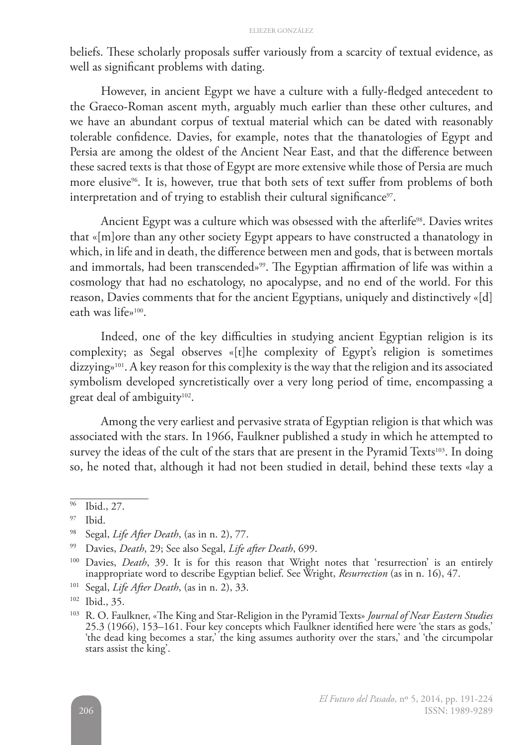beliefs. These scholarly proposals suffer variously from a scarcity of textual evidence, as well as significant problems with dating.

However, in ancient Egypt we have a culture with a fully-fledged antecedent to the Graeco-Roman ascent myth, arguably much earlier than these other cultures, and we have an abundant corpus of textual material which can be dated with reasonably tolerable confidence. Davies, for example, notes that the thanatologies of Egypt and Persia are among the oldest of the Ancient Near East, and that the difference between these sacred texts is that those of Egypt are more extensive while those of Persia are much more elusive<sup>96</sup>. It is, however, true that both sets of text suffer from problems of both interpretation and of trying to establish their cultural significance<sup>97</sup>.

Ancient Egypt was a culture which was obsessed with the afterlife<sup>98</sup>. Davies writes that «[m]ore than any other society Egypt appears to have constructed a thanatology in which, in life and in death, the difference between men and gods, that is between mortals and immortals, had been transcended»<sup>99</sup>. The Egyptian affirmation of life was within a cosmology that had no eschatology, no apocalypse, and no end of the world. For this reason, Davies comments that for the ancient Egyptians, uniquely and distinctively «[d] eath was life»100.

Indeed, one of the key difficulties in studying ancient Egyptian religion is its complexity; as Segal observes «[t]he complexity of Egypt's religion is sometimes dizzying»<sup>101</sup>. A key reason for this complexity is the way that the religion and its associated symbolism developed syncretistically over a very long period of time, encompassing a great deal of ambiguity<sup>102</sup>.

Among the very earliest and pervasive strata of Egyptian religion is that which was associated with the stars. In 1966, Faulkner published a study in which he attempted to survey the ideas of the cult of the stars that are present in the Pyramid Texts<sup>103</sup>. In doing so, he noted that, although it had not been studied in detail, behind these texts «lay a

<sup>102</sup> Ibid., 35.

<sup>96</sup> Ibid., 27.

 $97$  Ibid.

<sup>98</sup> Segal, *Life After Death*, (as in n. 2), 77.

<sup>99</sup> Davies, *Death*, 29; See also Segal, *Life after Death*, 699.

<sup>100</sup> Davies, *Death*, 39. It is for this reason that Wright notes that 'resurrection' is an entirely inappropriate word to describe Egyptian belief. See Wright, *Resurrection* (as in n. 16), 47.

<sup>101</sup> Segal, *Life After Death*, (as in n. 2), 33.

<sup>103</sup> R. O. Faulkner, «The King and Star-Religion in the Pyramid Texts» *Journal of Near Eastern Studies* 25.3 (1966), 153–161. Four key concepts which Faulkner identified here were 'the stars as gods,' 'the dead king becomes a star,' the king assumes authority over the stars,' and 'the circumpolar stars assist the king'.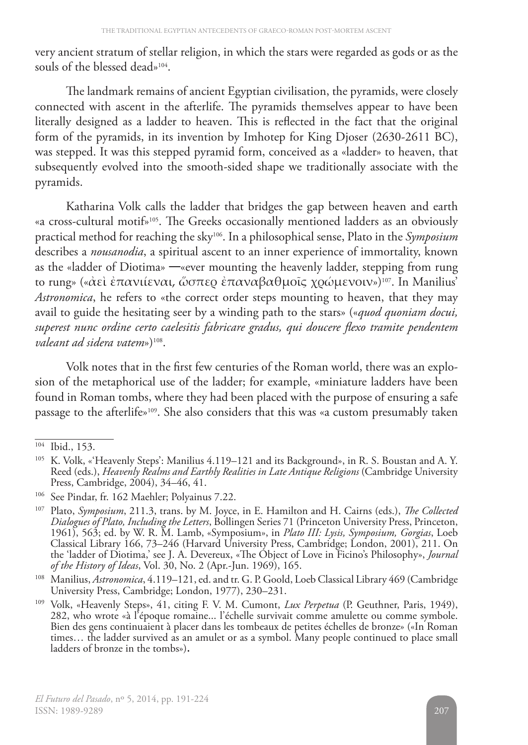very ancient stratum of stellar religion, in which the stars were regarded as gods or as the souls of the blessed dead»<sup>104</sup>.

The landmark remains of ancient Egyptian civilisation, the pyramids, were closely connected with ascent in the afterlife. The pyramids themselves appear to have been literally designed as a ladder to heaven. This is reflected in the fact that the original form of the pyramids, in its invention by Imhotep for King Djoser (2630-2611 BC), was stepped. It was this stepped pyramid form, conceived as a «ladder» to heaven, that subsequently evolved into the smooth-sided shape we traditionally associate with the pyramids.

Katharina Volk calls the ladder that bridges the gap between heaven and earth «a cross-cultural motif»105. The Greeks occasionally mentioned ladders as an obviously practical method for reaching the sky106. In a philosophical sense, Plato in the *Symposium* describes a *nousanodia*, a spiritual ascent to an inner experience of immortality, known as the «ladder of Diotima» —«ever mounting the heavenly ladder, stepping from rung to rung» («ἀεὶ ἐπανιίεναι, ὥσπερ ἐπαναβαθμοῖς χρώμενοιν»)107. In Manilius' *Astronomica*, he refers to «the correct order steps mounting to heaven, that they may avail to guide the hesitating seer by a winding path to the stars» («*quod quoniam docui, superest nunc ordine certo caelesitis fabricare gradus, qui doucere flexo tramite pendentem valeant ad sidera vatem»*)<sup>108</sup>.

Volk notes that in the first few centuries of the Roman world, there was an explosion of the metaphorical use of the ladder; for example, «miniature ladders have been found in Roman tombs, where they had been placed with the purpose of ensuring a safe passage to the afterlife»109. She also considers that this was «a custom presumably taken

<sup>104</sup> Ibid., 153.

<sup>&</sup>lt;sup>105</sup> K. Volk, «'Heavenly Steps': Manilius 4.119–121 and its Background», in R. S. Boustan and A. Y. Reed (eds.), *Heavenly Realms and Earthly Realities in Late Antique Religions* (Cambridge University Press, Cambridge, 2004), 34–46, 41.

<sup>106</sup> See Pindar, fr. 162 Maehler; Polyainus 7.22.

<sup>107</sup> Plato, *Symposium*, 211.3, trans. by M. Joyce, in E. Hamilton and H. Cairns (eds.), *The Collected Dialogues of Plato, Including the Letters*, Bollingen Series 71 (Princeton University Press, Princeton, 1961), 563; ed. by W. R. M. Lamb, «Symposium», in *Plato III: Lysis, Symposium, Gorgias*, Loeb Classical Library 166, 73–246 (Harvard University Press, Cambridge; London, 2001), 211. On the 'ladder of Diotima,' see J. A. Devereux, «The Object of Love in Ficino's Philosophy», *Journal of the History of Ideas*, Vol. 30, No. 2 (Apr.-Jun. 1969), 165.

<sup>108</sup> Manilius, *Astronomica*, 4.119–121, ed. and tr. G. P. Goold, Loeb Classical Library 469 (Cambridge University Press, Cambridge; London, 1977), 230–231.

<sup>109</sup> Volk, «Heavenly Steps», 41, citing F. V. M. Cumont, *Lux Perpetua* (P. Geuthner, Paris, 1949), 282, who wrote «à l'époque romaine... l'échelle survivait comme amulette ou comme symbole. Bien des gens continuaient à placer dans les tombeaux de petites échelles de bronze» («In Roman times… the ladder survived as an amulet or as a symbol. Many people continued to place small ladders of bronze in the tombs»).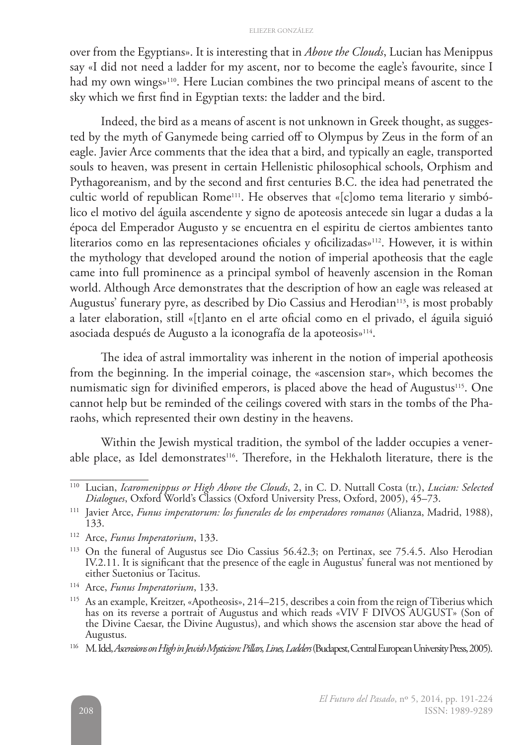over from the Egyptians». It is interesting that in *Above the Clouds*, Lucian has Menippus say «I did not need a ladder for my ascent, nor to become the eagle's favourite, since I had my own wings»<sup>110</sup>. Here Lucian combines the two principal means of ascent to the sky which we first find in Egyptian texts: the ladder and the bird.

Indeed, the bird as a means of ascent is not unknown in Greek thought, as suggested by the myth of Ganymede being carried off to Olympus by Zeus in the form of an eagle. Javier Arce comments that the idea that a bird, and typically an eagle, transported souls to heaven, was present in certain Hellenistic philosophical schools, Orphism and Pythagoreanism, and by the second and first centuries B.C. the idea had penetrated the cultic world of republican Rome<sup>111</sup>. He observes that «[c]omo tema literario y simbólico el motivo del águila ascendente y signo de apoteosis antecede sin lugar a dudas a la época del Emperador Augusto y se encuentra en el espiritu de ciertos ambientes tanto literarios como en las representaciones oficiales y oficilizadas»<sup>112</sup>. However, it is within the mythology that developed around the notion of imperial apotheosis that the eagle came into full prominence as a principal symbol of heavenly ascension in the Roman world. Although Arce demonstrates that the description of how an eagle was released at Augustus' funerary pyre, as described by Dio Cassius and Herodian<sup>113</sup>, is most probably a later elaboration, still «[t]anto en el arte oficial como en el privado, el águila siguió asociada después de Augusto a la iconografía de la apoteosis»114.

The idea of astral immortality was inherent in the notion of imperial apotheosis from the beginning. In the imperial coinage, the «ascension star», which becomes the numismatic sign for divinified emperors, is placed above the head of Augustus<sup>115</sup>. One cannot help but be reminded of the ceilings covered with stars in the tombs of the Pharaohs, which represented their own destiny in the heavens.

Within the Jewish mystical tradition, the symbol of the ladder occupies a venerable place, as Idel demonstrates<sup>116</sup>. Therefore, in the Hekhaloth literature, there is the

<sup>110</sup> Lucian, *Icaromenippus or High Above the Clouds*, 2, in C. D. Nuttall Costa (tr.), *Lucian: Selected Dialogues*, Oxford World's Classics (Oxford University Press, Oxford, 2005), 45–73.

<sup>111</sup> Javier Arce, *Funus imperatorum: los funerales de los emperadores romanos* (Alianza, Madrid, 1988), 133.

<sup>112</sup> Arce, *Funus Imperatorium*, 133.

<sup>113</sup> On the funeral of Augustus see Dio Cassius 56.42.3; on Pertinax, see 75.4.5. Also Herodian IV.2.11. It is significant that the presence of the eagle in Augustus' funeral was not mentioned by either Suetonius or Tacitus.

<sup>114</sup> Arce, *Funus Imperatorium*, 133.

<sup>115</sup> As an example, Kreitzer, «Apotheosis», 214–215, describes a coin from the reign of Tiberius which has on its reverse a portrait of Augustus and which reads «VIV F DIVOS AUGUST» (Son of the Divine Caesar, the Divine Augustus), and which shows the ascension star above the head of Augustus.

<sup>116</sup> M. Idel, *Ascensions on High in Jewish Mysticism: Pillars, Lines, Ladders* (Budapest, Central European University Press, 2005).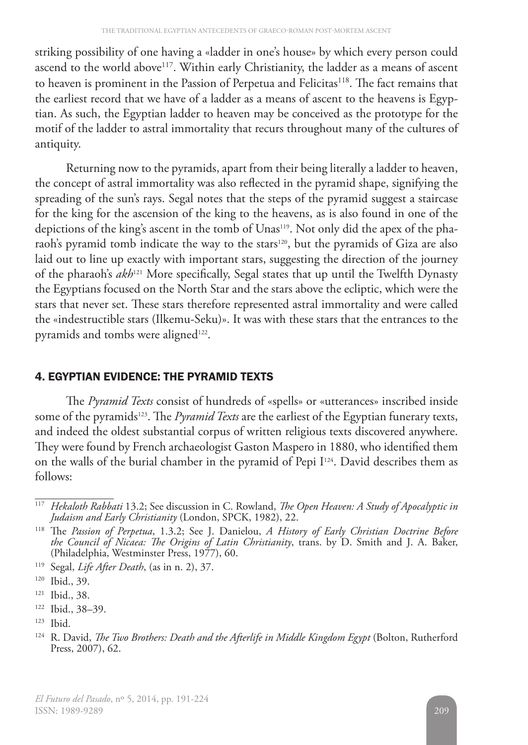striking possibility of one having a «ladder in one's house» by which every person could ascend to the world above<sup>117</sup>. Within early Christianity, the ladder as a means of ascent to heaven is prominent in the Passion of Perpetua and Felicitas<sup>118</sup>. The fact remains that the earliest record that we have of a ladder as a means of ascent to the heavens is Egyptian. As such, the Egyptian ladder to heaven may be conceived as the prototype for the motif of the ladder to astral immortality that recurs throughout many of the cultures of antiquity.

Returning now to the pyramids, apart from their being literally a ladder to heaven, the concept of astral immortality was also reflected in the pyramid shape, signifying the spreading of the sun's rays. Segal notes that the steps of the pyramid suggest a staircase for the king for the ascension of the king to the heavens, as is also found in one of the depictions of the king's ascent in the tomb of Unas<sup>119</sup>. Not only did the apex of the pharaoh's pyramid tomb indicate the way to the stars<sup>120</sup>, but the pyramids of Giza are also laid out to line up exactly with important stars, suggesting the direction of the journey of the pharaoh's *akh*<sup>121</sup> More specifically, Segal states that up until the Twelfth Dynasty the Egyptians focused on the North Star and the stars above the ecliptic, which were the stars that never set. These stars therefore represented astral immortality and were called the «indestructible stars (Ilkemu-Seku)». It was with these stars that the entrances to the pyramids and tombs were aligned<sup>122</sup>.

# 4. EGYPTIAN EVIDENCE: THE PYRAMID TEXTS

The *Pyramid Texts* consist of hundreds of «spells» or «utterances» inscribed inside some of the pyramids<sup>123</sup>. The *Pyramid Texts* are the earliest of the Egyptian funerary texts, and indeed the oldest substantial corpus of written religious texts discovered anywhere. They were found by French archaeologist Gaston Maspero in 1880, who identified them on the walls of the burial chamber in the pyramid of Pepi I<sup>124</sup>. David describes them as follows:

<sup>119</sup> Segal, *Life After Death*, (as in n. 2), 37.

<sup>117</sup> *Hekaloth Rabbati* 13.2; See discussion in C. Rowland, *The Open Heaven: A Study of Apocalyptic in Judaism and Early Christianity* (London, SPCK, 1982), 22.

<sup>118</sup> The *Passion of Perpetua*, 1.3.2; See J. Danielou, *A History of Early Christian Doctrine Before the Council of Nicaea: The Origins of Latin Christianity*, trans. by D. Smith and J. A. Baker, (Philadelphia, Westminster Press, 1977), 60.

<sup>120</sup> Ibid., 39.

<sup>121</sup> Ibid., 38.

<sup>122</sup> Ibid., 38–39.

<sup>123</sup> Ibid.

<sup>124</sup> R. David, *The Two Brothers: Death and the Afterlife in Middle Kingdom Egypt* (Bolton, Rutherford Press, 2007), 62.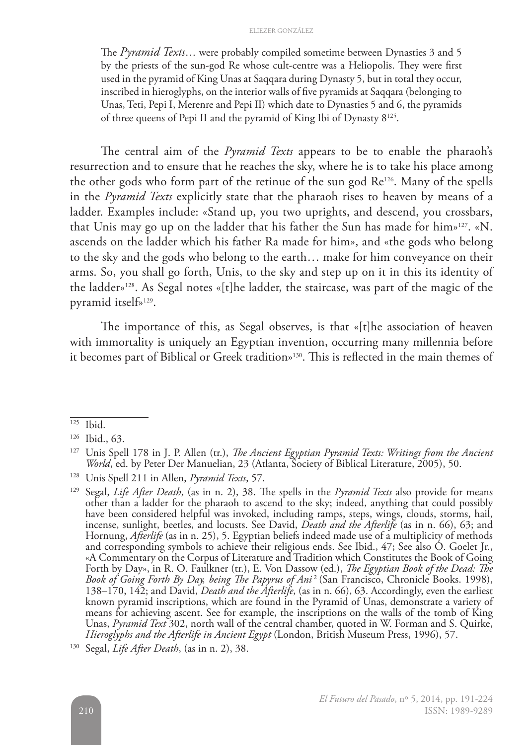#### ELIEZER GONZÁLEZ

The *Pyramid Texts*… were probably compiled sometime between Dynasties 3 and 5 by the priests of the sun-god Re whose cult-centre was a Heliopolis. They were first used in the pyramid of King Unas at Saqqara during Dynasty 5, but in total they occur, inscribed in hieroglyphs, on the interior walls of five pyramids at Saqqara (belonging to Unas, Teti, Pepi I, Merenre and Pepi II) which date to Dynasties 5 and 6, the pyramids of three queens of Pepi II and the pyramid of King Ibi of Dynasty 8125.

The central aim of the *Pyramid Texts* appears to be to enable the pharaoh's resurrection and to ensure that he reaches the sky, where he is to take his place among the other gods who form part of the retinue of the sun god Re126. Many of the spells in the *Pyramid Texts* explicitly state that the pharaoh rises to heaven by means of a ladder. Examples include: «Stand up, you two uprights, and descend, you crossbars, that Unis may go up on the ladder that his father the Sun has made for him»127. «N. ascends on the ladder which his father Ra made for him», and «the gods who belong to the sky and the gods who belong to the earth… make for him conveyance on their arms. So, you shall go forth, Unis, to the sky and step up on it in this its identity of the ladder»128. As Segal notes «[t]he ladder, the staircase, was part of the magic of the pyramid itself»129.

The importance of this, as Segal observes, is that «[t]he association of heaven with immortality is uniquely an Egyptian invention, occurring many millennia before it becomes part of Biblical or Greek tradition»130. This is reflected in the main themes of

<sup>125</sup> Ibid.

<sup>126</sup> Ibid., 63.

<sup>127</sup> Unis Spell 178 in J. P. Allen (tr.), *The Ancient Egyptian Pyramid Texts: Writings from the Ancient World*, ed. by Peter Der Manuelian, 23 (Atlanta, Society of Biblical Literature, 2005), 50.

<sup>128</sup> Unis Spell 211 in Allen, *Pyramid Texts*, 57.

<sup>129</sup> Segal, *Life After Death*, (as in n. 2), 38. The spells in the *Pyramid Texts* also provide for means other than a ladder for the pharaoh to ascend to the sky; indeed, anything that could possibly have been considered helpful was invoked, including ramps, steps, wings, clouds, storms, hail, incense, sunlight, beetles, and locusts. See David, *Death and the Afterlife* (as in n. 66), 63; and Hornung, *Afterlife* (as in n. 25), 5. Egyptian beliefs indeed made use of a multiplicity of methods and corresponding symbols to achieve their religious ends. See Ibid., 47; See also O. Goelet Jr., «A Commentary on the Corpus of Literature and Tradition which Constitutes the Book of Going Forth by Day», in R. O. Faulkner (tr.), E. Von Dassow (ed.), *The Egyptian Book of the Dead: The Book of Going Forth By Day, being The Papyrus of Ani* 2 (San Francisco, Chronicle Books. 1998), 138–170, 142; and David, *Death and the Afterlife*, (as in n. 66), 63. Accordingly, even the earliest known pyramid inscriptions, which are found in the Pyramid of Unas, demonstrate a variety of means for achieving ascent. See for example, the inscriptions on the walls of the tomb of King Unas, *Pyramid Text* 302, north wall of the central chamber, quoted in W. Forman and S. Quirke, *Hieroglyphs and the Afterlife in Ancient Egypt* (London, British Museum Press, 1996), 57.

<sup>130</sup> Segal, *Life After Death*, (as in n. 2), 38.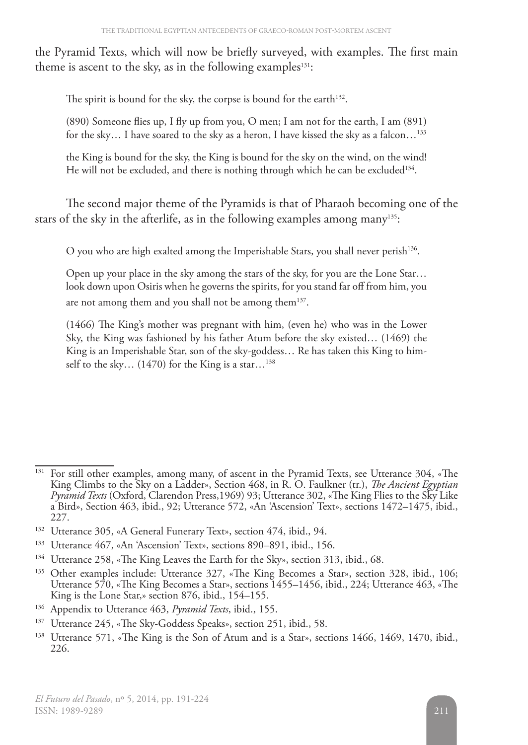the Pyramid Texts, which will now be briefly surveyed, with examples. The first main theme is ascent to the sky, as in the following examples $131$ :

The spirit is bound for the sky, the corpse is bound for the earth<sup>132</sup>.

(890) Someone flies up, I fly up from you, O men; I am not for the earth, I am (891) for the sky... I have soared to the sky as a heron, I have kissed the sky as a falcon...<sup>133</sup>

the King is bound for the sky, the King is bound for the sky on the wind, on the wind! He will not be excluded, and there is nothing through which he can be excluded<sup>134</sup>.

The second major theme of the Pyramids is that of Pharaoh becoming one of the stars of the sky in the afterlife, as in the following examples among many<sup>135</sup>:

O you who are high exalted among the Imperishable Stars, you shall never perish<sup>136</sup>.

Open up your place in the sky among the stars of the sky, for you are the Lone Star… look down upon Osiris when he governs the spirits, for you stand far off from him, you are not among them and you shall not be among them<sup>137</sup>.

(1466) The King's mother was pregnant with him, (even he) who was in the Lower Sky, the King was fashioned by his father Atum before the sky existed… (1469) the King is an Imperishable Star, son of the sky-goddess… Re has taken this King to himself to the sky...  $(1470)$  for the King is a star...<sup>138</sup>

<sup>&</sup>lt;sup>131</sup> For still other examples, among many, of ascent in the Pyramid Texts, see Utterance 304, «The King Climbs to the Sky on a Ladder», Section 468, in R. O. Faulkner (tr.), *The Ancient Egyptian Pyramid Texts* (Oxford, Clarendon Press,1969) 93; Utterance 302, «The King Flies to the Sky Like a Bird», Section 463, ibid., 92; Utterance 572, «An 'Ascension' Text», sections 1472–1475, ibid., 227.

<sup>132</sup> Utterance 305, «A General Funerary Text», section 474, ibid., 94.

<sup>133</sup> Utterance 467, «An 'Ascension' Text», sections 890–891, ibid., 156.

<sup>134</sup> Utterance 258, «The King Leaves the Earth for the Sky», section 313, ibid., 68.

<sup>135</sup> Other examples include: Utterance 327, «The King Becomes a Star», section 328, ibid., 106; Utterance 570, «The King Becomes a Star», sections 1455–1456, ibid., 224; Utterance 463, «The King is the Lone Star,» section 876, ibid., 154–155.

<sup>136</sup> Appendix to Utterance 463, *Pyramid Texts*, ibid., 155.

<sup>137</sup> Utterance 245, «The Sky-Goddess Speaks», section 251, ibid., 58.

<sup>&</sup>lt;sup>138</sup> Utterance 571, «The King is the Son of Atum and is a Star», sections 1466, 1469, 1470, ibid., 226.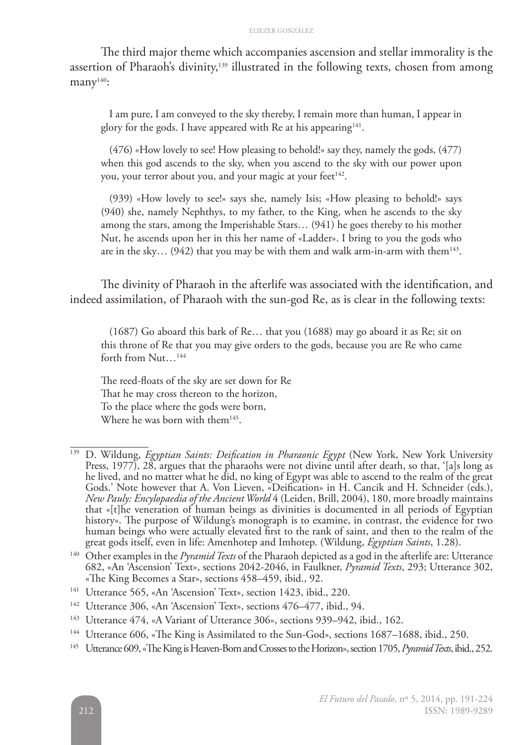The third major theme which accompanies ascension and stellar immorality is the assertion of Pharaoh's divinity,<sup>139</sup> illustrated in the following texts, chosen from among many $140$ :

I am pure, I am conveyed to the sky thereby, I remain more than human, I appear in glory for the gods. I have appeared with Re at his appearing<sup>141</sup>.

(476) «How lovely to see! How pleasing to behold!» say they, namely the gods, (477) when this god ascends to the sky, when you ascend to the sky with our power upon you, your terror about you, and your magic at your feet<sup>142</sup>.

(939) «How lovely to see!» says she, namely Isis; «How pleasing to behold!» says (940) she, namely Nephthys, to my father, to the King, when he ascends to the sky among the stars, among the Imperishable Stars… (941) he goes thereby to his mother Nut, he ascends upon her in this her name of «Ladder». I bring to you the gods who are in the sky... (942) that you may be with them and walk arm-in-arm with them<sup>143</sup>.

The divinity of Pharaoh in the afterlife was associated with the identification, and indeed assimilation, of Pharaoh with the sun-god Re, as is clear in the following texts:

(1687) Go aboard this bark of Re… that you (1688) may go aboard it as Re; sit on this throne of Re that you may give orders to the gods, because you are Re who came forth from Nut...<sup>144</sup>

The reed-floats of the sky are set down for Re That he may cross thereon to the horizon, To the place where the gods were born, Where he was born with them<sup>145</sup>.

<sup>139</sup> D. Wildung, *Egyptian Saints: Deification in Pharaonic Egypt* (New York, New York University Press, 1977), 28, argues that the pharaohs were not divine until after death, so that, '[a]s long as he lived, and no matter what he did, no king of Egypt was able to ascend to the realm of the great Gods.' Note however that A. Von Lieven, «Deification» in H. Cancik and H. Schneider (eds.), *New Pauly: Encylopaedia of the Ancient World* 4 (Leiden, Brill, 2004), 180, more broadly maintains that «[t]he veneration of human beings as divinities is documented in all periods of Egyptian history». The purpose of Wildung's monograph is to examine, in contrast, the evidence for two human beings who were actually elevated first to the rank of saint, and then to the realm of the great gods itself, even in life: Amenhotep and Imhotep. (Wildung, *Egyptian Saints*, 1.28).

<sup>140</sup> Other examples in the *Pyramid Texts* of the Pharaoh depicted as a god in the afterlife are: Utterance 682, «An 'Ascension' Text», sections 2042-2046, in Faulkner, *Pyramid Texts*, 293; Utterance 302, «The King Becomes a Star», sections 458–459, ibid., 92.

<sup>141</sup> Utterance 565, «An 'Ascension' Text», section 1423, ibid., 220.

<sup>142</sup> Utterance 306, «An 'Ascension' Text», sections 476–477, ibid., 94.

<sup>143</sup> Utterance 474, «A Variant of Utterance 306», sections 939–942, ibid., 162.

<sup>144</sup> Utterance 606, «The King is Assimilated to the Sun-God», sections 1687–1688, ibid., 250.

<sup>145</sup> Utterance 609, «The King is Heaven-Born and Crosses to the Horizon», section 1705, *Pyramid Texts*, ibid., 252.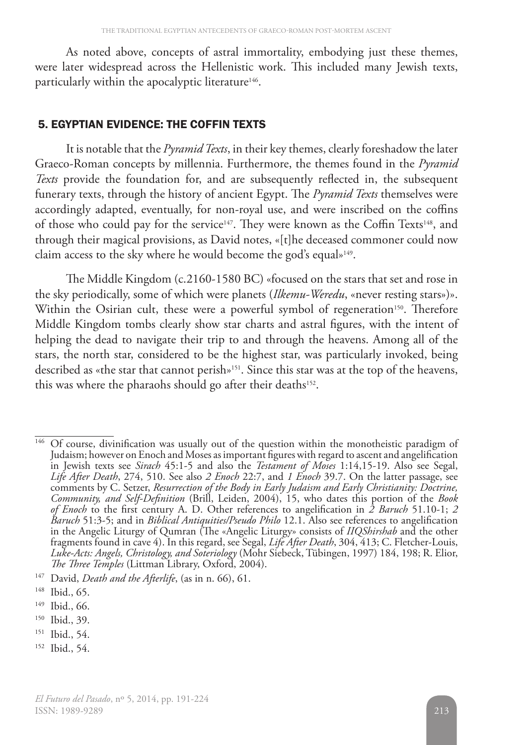As noted above, concepts of astral immortality, embodying just these themes, were later widespread across the Hellenistic work. This included many Jewish texts, particularly within the apocalyptic literature<sup>146</sup>.

### 5. EGYPTIAN EVIDENCE: THE COFFIN TEXTS

It is notable that the *Pyramid Texts*, in their key themes, clearly foreshadow thelater Graeco-Roman concepts by millennia. Furthermore, the themes found in the *Pyramid Texts* provide the foundation for, and are subsequently reflected in, the subsequent funerary texts, through the history of ancient Egypt. The *Pyramid Texts* themselves were accordingly adapted, eventually, for non-royal use, and were inscribed on the coffins of those who could pay for the service<sup>147</sup>. They were known as the Coffin Texts<sup>148</sup>, and through their magical provisions, as David notes, «[t]he deceased commoner could now claim access to the sky where he would become the god's equal»<sup>149</sup>.

The Middle Kingdom (c.2160-1580 BC) «focused on the stars that set and rose in the sky periodically, some of which were planets (*Ilkemu-Weredu*, «never resting stars»)». Within the Osirian cult, these were a powerful symbol of regeneration<sup>150</sup>. Therefore Middle Kingdom tombs clearly show star charts and astral figures, with the intent of helping the dead to navigate their trip to and through the heavens. Among all of the stars, the north star, considered to be the highest star, was particularly invoked, being described as «the star that cannot perish»151. Since this star was at the top of the heavens, this was where the pharaohs should go after their deaths<sup>152</sup>.

- <sup>151</sup> Ibid., 54.
- <sup>152</sup> Ibid., 54.

<sup>&</sup>lt;sup>146</sup> Of course, divinification was usually out of the question within the monotheistic paradigm of Judaism; however on Enoch and Moses as important figures with regard to ascent and angelification in Jewish texts see *Sirach* 45:1-5 and also the *Testament of Moses* 1:14,15-19. Also see Segal, *Life After Death*, 274, 510. See also *2 Enoch* 22:7, and *1 Enoch* 39.7. On the latter passage, see comments by C. Setzer, *Resurrection of the Body in Early Judaism and Early Christianity: Doctrine, Community, and Self-Definition* (Brill, Leiden, 2004), 15, who dates this portion of the *Book of Enoch* to the first century A. D. Other references to angelification in *2 Baruch* 51.10-1; *2 Baruch* 51:3-5; and in *Biblical Antiquities/Pseudo Philo* 12.1. Also see references to angelification in the Angelic Liturgy of Qumran (The «Angelic Liturgy» consists of *IIQShirshab* and the other fragments found in cave 4). In this regard, see Segal, *Life After Death*, 304, 413; C. Fletcher-Louis, *Luke-Acts: Angels, Christology, and Soteriology* (Mohr Siebeck, Tübingen, 1997) 184, 198; R. Elior, *The Three Temples* (Littman Library, Oxford, 2004).

<sup>147</sup> David, *Death and the Afterlife*, (as in n. 66), 61.

<sup>148</sup> Ibid., 65.

<sup>149</sup> Ibid., 66.

<sup>150</sup> Ibid., 39.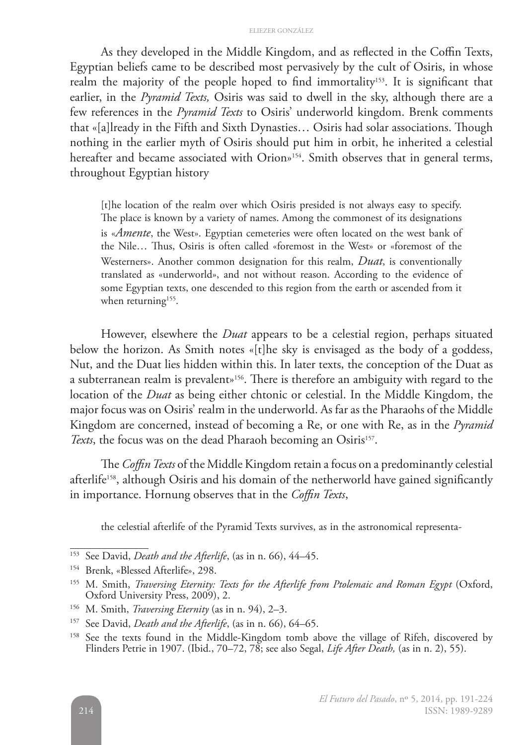As they developed in the Middle Kingdom, and as reflected in the Coffin Texts, Egyptian beliefs came to be described most pervasively by the cult of Osiris, in whose realm the majority of the people hoped to find immortality<sup>153</sup>. It is significant that earlier, in the *Pyramid Texts,* Osiris was said to dwell in the sky, although there are a few references in the *Pyramid Texts* to Osiris' underworld kingdom. Brenk comments that «[a]lready in the Fifth and Sixth Dynasties… Osiris had solar associations. Though nothing in the earlier myth of Osiris should put him in orbit, he inherited a celestial hereafter and became associated with Orion»<sup>154</sup>. Smith observes that in general terms, throughout Egyptian history

[t]he location of the realm over which Osiris presided is not always easy to specify. The place is known by a variety of names. Among the commonest of its designations is «*Amente*, the West». Egyptian cemeteries were often located on the west bank of the Nile… Thus, Osiris is often called «foremost in the West» or «foremost of the Westerners». Another common designation for this realm, *Duat*, is conventionally translated as «underworld», and not without reason. According to the evidence of some Egyptian texts, one descended to this region from the earth or ascended from it when returning<sup>155</sup>.

However, elsewhere the *Duat* appears to be a celestial region, perhaps situated below the horizon. As Smith notes «[t]he sky is envisaged as the body of a goddess, Nut, and the Duat lies hidden within this. In later texts, the conception of the Duat as a subterranean realm is prevalent»156. There is therefore an ambiguity with regard to the location of the *Duat* as being either chtonic or celestial. In the Middle Kingdom, the major focus was on Osiris' realm in the underworld. As far as the Pharaohs of the Middle Kingdom are concerned, instead of becoming a Re, or one with Re, as in the *Pyramid Texts*, the focus was on the dead Pharaoh becoming an Osiris<sup>157</sup>.

The *Coffin Texts* of the Middle Kingdom retain a focus on a predominantly celestial afterlife<sup>158</sup>, although Osiris and his domain of the netherworld have gained significantly in importance. Hornung observes that in the *Coffin Texts*,

the celestial afterlife of the Pyramid Texts survives, as in the astronomical representa-

<sup>153</sup> See David, *Death and the Afterlife*, (as in n. 66), 44–45.

<sup>154</sup> Brenk, «Blessed Afterlife», 298.

<sup>155</sup> M. Smith, *Traversing Eternity: Texts for the Afterlife from Ptolemaic and Roman Egypt* (Oxford, Oxford University Press, 2009), 2.

<sup>156</sup> M. Smith, *Traversing Eternity* (as in n. 94), 2–3.

<sup>157</sup> See David, *Death and the Afterlife*, (as in n. 66), 64–65.

<sup>&</sup>lt;sup>158</sup> See the texts found in the Middle-Kingdom tomb above the village of Rifeh, discovered by Flinders Petrie in 1907. (Ibid., 70–72, 78; see also Segal, *Life After Death,* (as in n. 2), 55).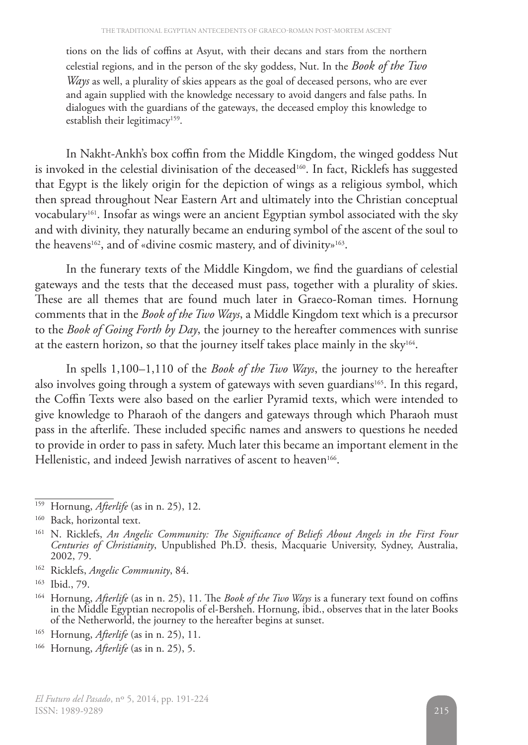tions on the lids of coffins at Asyut, with their decans and stars from the northern celestial regions, and in the person of the sky goddess, Nut. In the *Book of the Two Ways* as well, a plurality of skies appears as the goal of deceased persons, who are ever and again supplied with the knowledge necessary to avoid dangers and false paths. In dialogues with the guardians of the gateways, the deceased employ this knowledge to establish their legitimacy<sup>159</sup>.

In Nakht-Ankh's box coffin from the Middle Kingdom, the winged goddess Nut is invoked in the celestial divinisation of the deceased<sup>160</sup>. In fact, Ricklefs has suggested that Egypt is the likely origin for the depiction of wings as a religious symbol, which then spread throughout Near Eastern Art and ultimately into the Christian conceptual vocabulary<sup>161</sup>. Insofar as wings were an ancient Egyptian symbol associated with the sky and with divinity, they naturally became an enduring symbol of the ascent of the soul to the heavens<sup>162</sup>, and of «divine cosmic mastery, and of divinity»<sup>163</sup>.

In the funerary texts of the Middle Kingdom, we find the guardians of celestial gateways and the tests that the deceased must pass, together with a plurality of skies. These are all themes that are found much later in Graeco-Roman times. Hornung comments that in the *Book of the Two Ways*, a Middle Kingdom text which is a precursor to the *Book of Going Forth by Day*, the journey to the hereafter commences with sunrise at the eastern horizon, so that the journey itself takes place mainly in the sky164.

In spells 1,100–1,110 of the *Book of the Two Ways*, the journey to the hereafter also involves going through a system of gateways with seven guardians $165$ . In this regard, the Coffin Texts were also based on the earlier Pyramid texts, which were intended to give knowledge to Pharaoh of the dangers and gateways through which Pharaoh must pass in the afterlife. These included specific names and answers to questions he needed to provide in order to pass in safety. Much later this became an important element in the Hellenistic, and indeed Jewish narratives of ascent to heaven<sup>166</sup>.

<sup>162</sup> Ricklefs, *Angelic Community*, 84.

- <sup>165</sup> Hornung, *Afterlife* (as in n. 25), 11.
- <sup>166</sup> Hornung, *Afterlife* (as in n. 25), 5.

<sup>159</sup> Hornung, *Afterlife* (as in n. 25), 12.

<sup>&</sup>lt;sup>160</sup> Back, horizontal text.

<sup>161</sup> N. Ricklefs, *An Angelic Community: The Significance of Beliefs About Angels in the First Four Centuries of Christianity*, Unpublished Ph.D. thesis, Macquarie University, Sydney, Australia, 2002, 79.

<sup>163</sup> Ibid., 79.

<sup>164</sup> Hornung, *Afterlife* (as in n. 25), 11. The *Book of the Two Ways* is a funerary text found on coffins in the Middle Egyptian necropolis of el-Bersheh. Hornung, ibid., observes that in the later Books of the Netherworld, the journey to the hereafter begins at sunset.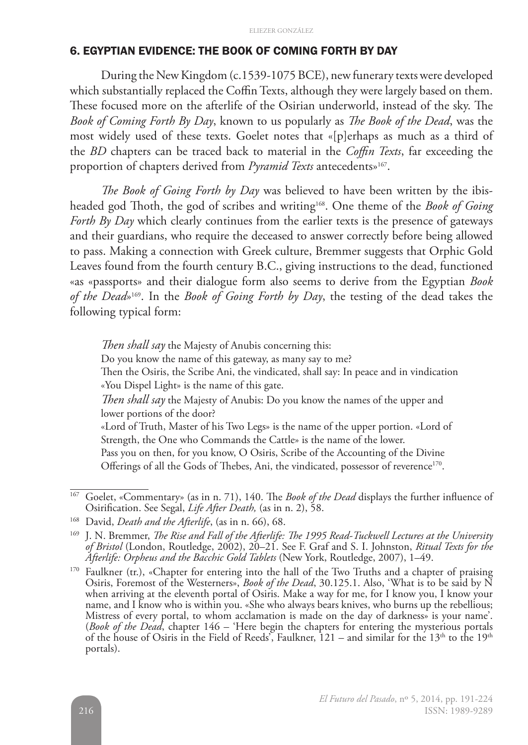### 6. EGYPTIAN EVIDENCE: THE BOOK OF COMING FORTH BY DAY

During the New Kingdom (c.1539-1075 BCE), new funerary texts were developed which substantially replaced the Coffin Texts, although they were largely based on them. These focused more on the afterlife of the Osirian underworld, instead of the sky. The *Book of Coming Forth By Day*, known to us popularly as *The Book of the Dead*, was the most widely used of these texts. Goelet notes that «[p]erhaps as much as a third of the *BD* chapters can be traced back to material in the *Coffin Texts*, far exceeding the proportion of chapters derived from *Pyramid Texts* antecedents<sup>»167</sup>.

*The Book of Going Forth by Day* was believed to have been written by the ibisheaded god Thoth, the god of scribes and writing168. One theme of the *Book of Going Forth By Day* which clearly continues from the earlier texts is the presence of gateways and their guardians, who require the deceased to answer correctly before being allowed to pass. Making a connection with Greek culture, Bremmer suggests that Orphic Gold Leaves found from the fourth century B.C., giving instructions to the dead, functioned «as «passports» and their dialogue form also seems to derive from the Egyptian *Book of the Dead*»169. In the *Book of Going Forth by Day*, the testing of the dead takes the following typical form:

*Then shall say* the Majesty of Anubis concerning this: Do you know the name of this gateway, as many say to me? Then the Osiris, the Scribe Ani, the vindicated, shall say: In peace and in vindication «You Dispel Light» is the name of this gate. *Then shall say* the Majesty of Anubis: Do you know the names of the upper and lower portions of the door? «Lord of Truth, Master of his Two Legs» is the name of the upper portion. «Lord of Strength, the One who Commands the Cattle» is the name of the lower. Pass you on then, for you know, O Osiris, Scribe of the Accounting of the Divine Offerings of all the Gods of Thebes, Ani, the vindicated, possessor of reverence<sup>170</sup>.

<sup>&</sup>lt;sup>167</sup> Goelet, «Commentary» (as in n. 71), 140. The *Book of the Dead* displays the further influence of Osirification. See Segal, *Life After Death,* (as in n. 2), 58.

<sup>168</sup> David, *Death and the Afterlife*, (as in n. 66), 68.

<sup>169</sup> J. N. Bremmer, *The Rise and Fall of the Afterlife: The 1995 Read-Tuckwell Lectures at the University of Bristol* (London, Routledge, 2002), 20–21. See F. Graf and S. I. Johnston, *Ritual Texts for the Afterlife: Orpheus and the Bacchic Gold Tablets* (New York, Routledge, 2007), 1–49.

<sup>&</sup>lt;sup>170</sup> Faulkner (tr.), «Chapter for entering into the hall of the Two Truths and a chapter of praising Osiris, Foremost of the Westerners», *Book of the Dead*, 30.125.1. Also, 'What is to be said by N when arriving at the eleventh portal of Osiris. Make a way for me, for I know you, I know your name, and I know who is within you. «She who always bears knives, who burns up the rebellious; Mistress of every portal, to whom acclamation is made on the day of darkness» is your name'. (*Book of the Dead*, chapter 146 – 'Here begin the chapters for entering the mysterious portals of the house of Osiris in the Field of Reeds', Faulkner,  $121$  – and similar for the  $13<sup>th</sup>$  to the  $19<sup>th</sup>$ portals).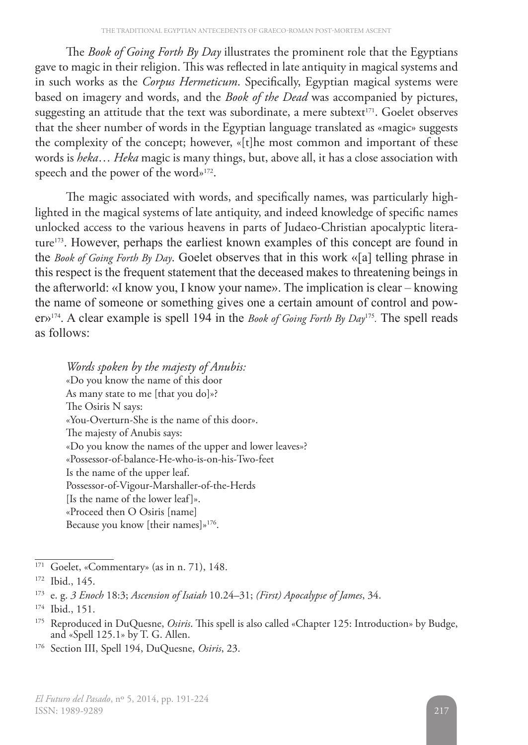The *Book of Going Forth By Day* illustrates the prominent role that the Egyptians gave to magic in their religion. This was reflected in late antiquity in magical systems and in such works as the *Corpus Hermeticum*. Specifically, Egyptian magical systems were based on imagery and words, and the *Book of the Dead* was accompanied by pictures, suggesting an attitude that the text was subordinate, a mere subtext $171$ . Goelet observes that the sheer number of words in the Egyptian language translated as «magic» suggests the complexity of the concept; however, «[t]he most common and important of these words is *heka*… *Heka* magic is many things, but, above all, it has a close association with speech and the power of the word»172.

The magic associated with words, and specifically names, was particularly highlighted in the magical systems of late antiquity, and indeed knowledge of specific names unlocked access to the various heavens in parts of Judaeo-Christian apocalyptic literature173. However, perhaps the earliest known examples of this concept are found in the *Book of Going Forth By Day*. Goelet observes that in this work «[a] telling phrase in this respect is the frequent statement that the deceased makes to threatening beings in the afterworld: «I know you, I know your name». The implication is clear – knowing the name of someone or something gives one a certain amount of control and power»174. A clear example is spell 194 in the *Book of Going Forth By Day*<sup>175</sup>*.* The spell reads as follows:

*Words spoken by the majesty of Anubis:* «Do you know the name of this door As many state to me [that you do]»? The Osiris N says: «You-Overturn-She is the name of this door». The majesty of Anubis says: «Do you know the names of the upper and lower leaves»? «Possessor-of-balance-He-who-is-on-his-Two-feet Is the name of the upper leaf. Possessor-of-Vigour-Marshaller-of-the-Herds [Is the name of the lower leaf]». «Proceed then O Osiris [name] Because you know [their names]»176.

<sup>&</sup>lt;sup>171</sup> Goelet, «Commentary» (as in n. 71), 148.

<sup>172</sup> Ibid., 145.

<sup>173</sup> e. g. *3 Enoch* 18:3; *Ascension of Isaiah* 10.24–31; *(First) Apocalypse of James*, 34.

<sup>174</sup> Ibid., 151.

<sup>&</sup>lt;sup>175</sup> Reproduced in DuQuesne, *Osiris*. This spell is also called «Chapter 125: Introduction» by Budge, and «Spell 125.1» by T. G. Allen.

<sup>176</sup> Section III, Spell 194, DuQuesne, *Osiris*, 23.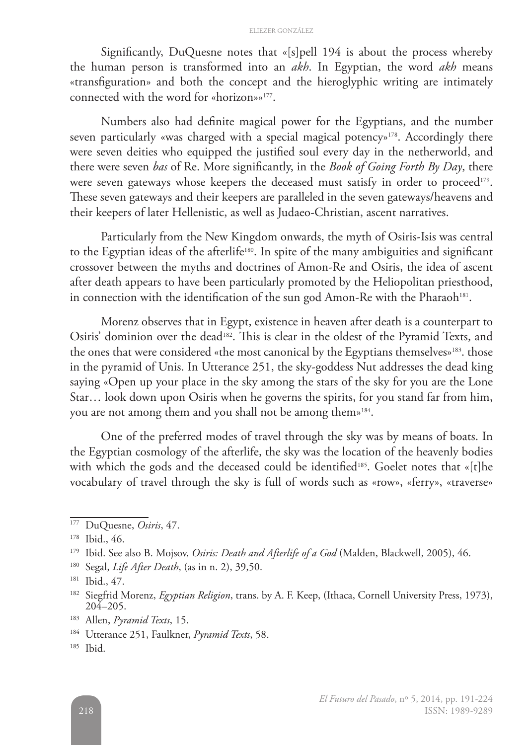Significantly, DuQuesne notes that «[s]pell 194 is about the process whereby the human person is transformed into an *akh*. In Egyptian, the word *akh* means «transfiguration» and both the concept and the hieroglyphic writing are intimately connected with the word for «horizon»»177.

Numbers also had definite magical power for the Egyptians, and the number seven particularly «was charged with a special magical potency»<sup>178</sup>. Accordingly there were seven deities who equipped the justified soul every day in the netherworld, and there were seven *bas* of Re. More significantly, in the *Book of Going Forth By Day*, there were seven gateways whose keepers the deceased must satisfy in order to proceed<sup>179</sup>. These seven gateways and their keepers are paralleled in the seven gateways/heavens and their keepers of later Hellenistic, as well as Judaeo-Christian, ascent narratives.

Particularly from the New Kingdom onwards, the myth of Osiris-Isis was central to the Egyptian ideas of the afterlife<sup>180</sup>. In spite of the many ambiguities and significant crossover between the myths and doctrines of Amon-Re and Osiris, the idea of ascent after death appears to have been particularly promoted by the Heliopolitan priesthood, in connection with the identification of the sun god Amon-Re with the Pharaoh<sup>181</sup>.

Morenz observes that in Egypt, existence in heaven after death is a counterpart to Osiris' dominion over the dead<sup>182</sup>. This is clear in the oldest of the Pyramid Texts, and the ones that were considered «the most canonical by the Egyptians themselves»<sup>183</sup>. those in the pyramid of Unis. In Utterance 251, the sky-goddess Nut addresses the dead king saying «Open up your place in the sky among the stars of the sky for you are the Lone Star… look down upon Osiris when he governs the spirits, for you stand far from him, you are not among them and you shall not be among them»184.

One of the preferred modes of travel through the sky was by means of boats. In the Egyptian cosmology of the afterlife, the sky was the location of the heavenly bodies with which the gods and the deceased could be identified<sup>185</sup>. Goelet notes that «[t]he vocabulary of travel through the sky is full of words such as «row», «ferry», «traverse»

<sup>177</sup> DuQuesne, *Osiris*, 47.

<sup>178</sup> Ibid., 46.

<sup>179</sup> Ibid. See also B. Mojsov, *Osiris: Death and Afterlife of a God* (Malden, Blackwell, 2005), 46.

<sup>180</sup> Segal, *Life After Death*, (as in n. 2), 39,50.

<sup>181</sup> Ibid., 47.

<sup>182</sup> Siegfrid Morenz, *Egyptian Religion*, trans. by A. F. Keep, (Ithaca, Cornell University Press, 1973), 204–205.

<sup>183</sup> Allen, *Pyramid Texts*, 15.

<sup>184</sup> Utterance 251, Faulkner, *Pyramid Texts*, 58.

<sup>185</sup> Ibid.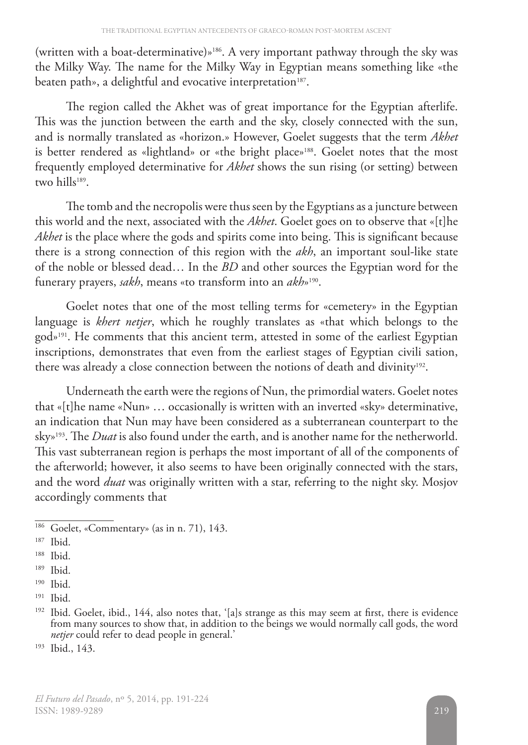(written with a boat-determinative)»186. A very important pathway through the sky was the Milky Way. The name for the Milky Way in Egyptian means something like «the beaten path», a delightful and evocative interpretation<sup>187</sup>.

The region called the Akhet was of great importance for the Egyptian afterlife. This was the junction between the earth and the sky, closely connected with the sun, and is normally translated as «horizon.» However, Goelet suggests that the term *Akhet* is better rendered as «lightland» or «the bright place»<sup>188</sup>. Goelet notes that the most frequently employed determinative for *Akhet* shows the sun rising (or setting) between two hills<sup>189</sup>.

The tomb and the necropolis were thus seen by the Egyptians as a juncture between this world and the next, associated with the *Akhet*. Goelet goes on to observe that «[t]he *Akhet* is the place where the gods and spirits come into being. This is significant because there is a strong connection of this region with the *akh*, an important soul-like state of the noble or blessed dead… In the *BD* and other sources the Egyptian word for the funerary prayers, *sakh*, means «to transform into an *akh*»190.

Goelet notes that one of the most telling terms for «cemetery» in the Egyptian language is *khert netjer*, which he roughly translates as «that which belongs to the god»191. He comments that this ancient term, attested in some of the earliest Egyptian inscriptions, demonstrates that even from the earliest stages of Egyptian civili sation, there was already a close connection between the notions of death and divinity<sup>192</sup>.

Underneath the earth were the regions of Nun, the primordial waters. Goelet notes that «[t]he name «Nun» … occasionally is written with an inverted «sky» determinative, an indication that Nun may have been considered as a subterranean counterpart to the sky»193. The *Duat* is also found under the earth, and is another name for the netherworld. This vast subterranean region is perhaps the most important of all of the components of the afterworld; however, it also seems to have been originally connected with the stars, and the word *duat* was originally written with a star, referring to the night sky. Mosjov accordingly comments that

<sup>186</sup> Goelet, «Commentary» (as in n. 71), 143.

<sup>187</sup> Ibid.

<sup>188</sup> Ibid.

<sup>189</sup> Ibid.

 $190$  Ibid.

<sup>191</sup> Ibid.

<sup>&</sup>lt;sup>192</sup> Ibid. Goelet, ibid., 144, also notes that, '[a]s strange as this may seem at first, there is evidence from many sources to show that, in addition to the beings we would normally call gods, the word *netjer* could refer to dead people in general.'

<sup>193</sup> Ibid., 143.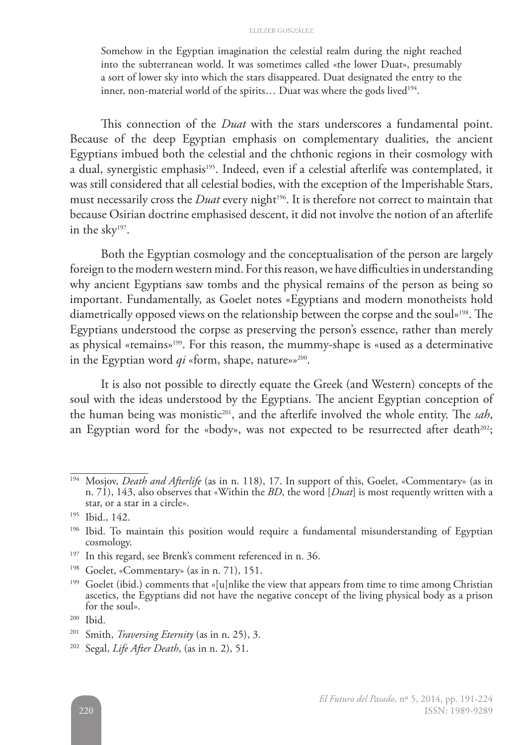Somehow in the Egyptian imagination the celestial realm during the night reached into the subterranean world. It was sometimes called «the lower Duat», presumably a sort of lower sky into which the stars disappeared. Duat designated the entry to the inner, non-material world of the spirits... Duat was where the gods lived<sup>194</sup>.

This connection of the *Duat* with the stars underscores a fundamental point. Because of the deep Egyptian emphasis on complementary dualities, the ancient Egyptians imbued both the celestial and the chthonic regions in their cosmology with a dual, synergistic emphasis<sup>195</sup>. Indeed, even if a celestial afterlife was contemplated, it was still considered that all celestial bodies, with the exception of the Imperishable Stars, must necessarily cross the *Duat* every night<sup>196</sup>. It is therefore not correct to maintain that because Osirian doctrine emphasised descent, it did not involve the notion of an afterlife in the sky197.

Both the Egyptian cosmology and the conceptualisation of the person are largely foreign to the modern western mind. For this reason, we have difficulties in understanding why ancient Egyptians saw tombs and the physical remains of the person as being so important. Fundamentally, as Goelet notes «Egyptians and modern monotheists hold diametrically opposed views on the relationship between the corpse and the soul»198. The Egyptians understood the corpse as preserving the person's essence, rather than merely as physical «remains»199. For this reason, the mummy-shape is «used as a determinative in the Egyptian word  $qi$  «form, shape, nature»»<sup>200</sup>.

It is also not possible to directly equate the Greek (and Western) concepts of the soul with the ideas understood by the Egyptians. The ancient Egyptian conception of the human being was monistic<sup>201</sup>, and the afterlife involved the whole entity. The sah, an Egyptian word for the «body», was not expected to be resurrected after death $^{202}$ ;

- <sup>197</sup> In this regard, see Brenk's comment referenced in n. 36.
- <sup>198</sup> Goelet, «Commentary» (as in n. 71), 151.

<sup>194</sup> Mosjov, *Death and Afterlife* (as in n. 118), 17. In support of this, Goelet, «Commentary» (as in n. 71), 143, also observes that «Within the *BD*, the word [*Duat*] is most requently written with a star, or a star in a circle».

<sup>195</sup> Ibid., 142.

<sup>&</sup>lt;sup>196</sup> Ibid. To maintain this position would require a fundamental misunderstanding of Egyptian cosmology.

<sup>&</sup>lt;sup>199</sup> Goelet (ibid.) comments that «[u]nlike the view that appears from time to time among Christian ascetics, the Egyptians did not have the negative concept of the living physical body as a prison for the soul».

<sup>200</sup> Ibid.

<sup>201</sup> Smith, *Traversing Eternity* (as in n. 25), 3.

<sup>202</sup> Segal, *Life After Death*, (as in n. 2), 51.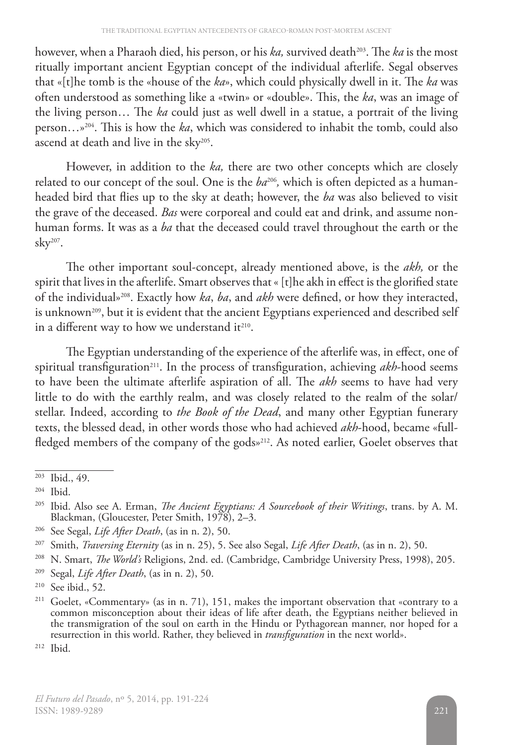however, when a Pharaoh died, his person, or his *ka*, survived death<sup>203</sup>. The *ka* is the most ritually important ancient Egyptian concept of the individual afterlife. Segal observes that «[t]he tomb is the «house of the *ka*», which could physically dwell in it. The *ka* was often understood as something like a «twin» or «double». This, the *ka*, was an image of the living person… The *ka* could just as well dwell in a statue, a portrait of the living person…»204. This is how the *ka*, which was considered to inhabit the tomb, could also ascend at death and live in the sky<sup>205</sup>.

However, in addition to the *ka,* there are two other concepts which are closely related to our concept of the soul. One is the  $ba^{206}$ , which is often depicted as a humanheaded bird that flies up to the sky at death; however, the *ba* was also believed to visit the grave of the deceased. *Bas* were corporeal and could eat and drink, and assume nonhuman forms. It was as a *ba* that the deceased could travel throughout the earth or the sky207.

The other important soul-concept, already mentioned above, is the *akh,* or the spirit that lives in the afterlife. Smart observes that « [t]he akh in effect is the glorified state of the individual»208. Exactly how *ka*, *ba*, and *akh* were defined, or how they interacted, is unknown<sup>209</sup>, but it is evident that the ancient Egyptians experienced and described self in a different way to how we understand it<sup>210</sup>.

The Egyptian understanding of the experience of the afterlife was, in effect, one of spiritual transfiguration<sup>211</sup>. In the process of transfiguration, achieving *akh*-hood seems to have been the ultimate afterlife aspiration of all. The *akh* seems to have had very little to do with the earthly realm, and was closely related to the realm of the solar/ stellar. Indeed, according to *the Book of the Dead*, and many other Egyptian funerary texts, the blessed dead, in other words those who had achieved *akh*-hood, became «fullfledged members of the company of the gods»<sup>212</sup>. As noted earlier, Goelet observes that

 $203$  Ibid., 49.

<sup>204</sup> Ibid.

<sup>205</sup> Ibid. Also see A. Erman, *The Ancient Egyptians: A Sourcebook of their Writings*, trans. by A. M. Blackman, (Gloucester, Peter Smith, 1978), 2–3.

<sup>206</sup> See Segal, *Life After Death*, (as in n. 2), 50.

<sup>207</sup> Smith, *Traversing Eternity* (as in n. 25), 5. See also Segal, *Life After Death*, (as in n. 2), 50.

<sup>208</sup> N. Smart, *The World's* Religions, 2nd. ed. (Cambridge, Cambridge University Press, 1998), 205.

<sup>209</sup> Segal, *Life After Death*, (as in n. 2), 50.

<sup>210</sup> See ibid., 52.

<sup>&</sup>lt;sup>211</sup> Goelet, «Commentary» (as in n. 71), 151, makes the important observation that «contrary to a common misconception about their ideas of life after death, the Egyptians neither believed in the transmigration of the soul on earth in the Hindu or Pythagorean manner, nor hoped for a resurrection in this world. Rather, they believed in *transfiguration* in the next world».

<sup>212</sup> Ibid.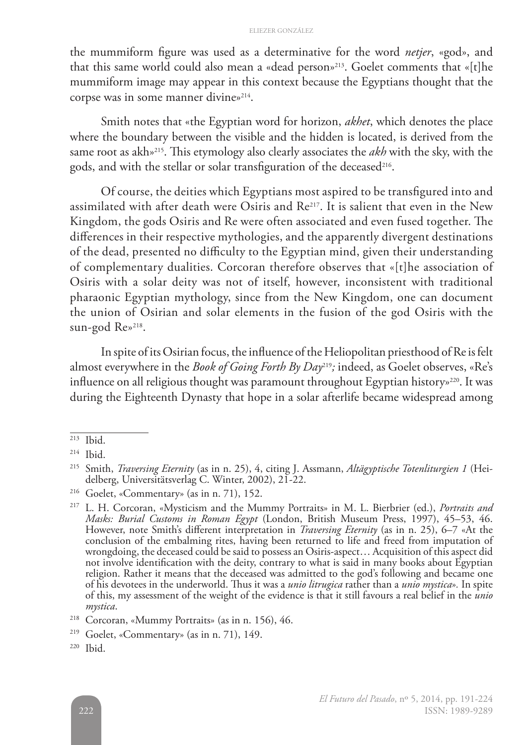the mummiform figure was used as a determinative for the word *netjer*, «god», and that this same world could also mean a «dead person»213. Goelet comments that «[t]he mummiform image may appear in this context because the Egyptians thought that the corpse was in some manner divine»<sup>214</sup>.

Smith notes that «the Egyptian word for horizon, *akhet*, which denotes the place where the boundary between the visible and the hidden is located, is derived from the same root as akh»215. This etymology also clearly associates the *akh* with the sky, with the gods, and with the stellar or solar transfiguration of the deceased<sup>216</sup>.

Of course, the deities which Egyptians most aspired to be transfigured into and assimilated with after death were Osiris and Re217. It is salient that even in the New Kingdom, the gods Osiris and Re were often associated and even fused together. The differences in their respective mythologies, and the apparently divergent destinations of the dead, presented no difficulty to the Egyptian mind, given their understanding of complementary dualities. Corcoran therefore observes that «[t]he association of Osiris with a solar deity was not of itself, however, inconsistent with traditional pharaonic Egyptian mythology, since from the New Kingdom, one can document the union of Osirian and solar elements in the fusion of the god Osiris with the sun-god Re»<sup>218</sup>.

In spite of its Osirian focus, the influence of the Heliopolitan priesthood of Re is felt almost everywhere in the *Book of Going Forth By Day*219*;* indeed, as Goelet observes, «Re's influence on all religious thought was paramount throughout Egyptian history»<sup>220</sup>. It was during the Eighteenth Dynasty that hope in a solar afterlife became widespread among

 $213$  Ibid.

<sup>214</sup> Ibid.

<sup>215</sup> Smith, *Traversing Eternity* (as in n. 25), 4, citing J. Assmann, *Altägyptische Totenliturgien 1* (Heidelberg, Universitätsverlag C. Winter, 2002), 21-22.

<sup>216</sup> Goelet, «Commentary» (as in n. 71), 152.

<sup>217</sup> L. H. Corcoran, «Mysticism and the Mummy Portraits» in M. L. Bierbrier (ed.), *Portraits and Masks: Burial Customs in Roman Egypt* (London, British Museum Press, 1997), 45–53, 46. However, note Smith's different interpretation in *Traversing Eternity* (as in n. 25), 6–7 «At the conclusion of the embalming rites, having been returned to life and freed from imputation of wrongdoing, the deceased could be said to possess an Osiris-aspect… Acquisition of this aspect did not involve identification with the deity, contrary to what is said in many books about Egyptian religion. Rather it means that the deceased was admitted to the god's following and became one of his devotees in the underworld. Thus it was a *unio litrugica* rather than a *unio mystica*»*.* In spite of this, my assessment of the weight of the evidence is that it still favours a real belief in the *unio mystica*.

<sup>218</sup> Corcoran, «Mummy Portraits» (as in n. 156), 46.

<sup>219</sup> Goelet, «Commentary» (as in n. 71), 149.

<sup>220</sup> Ibid.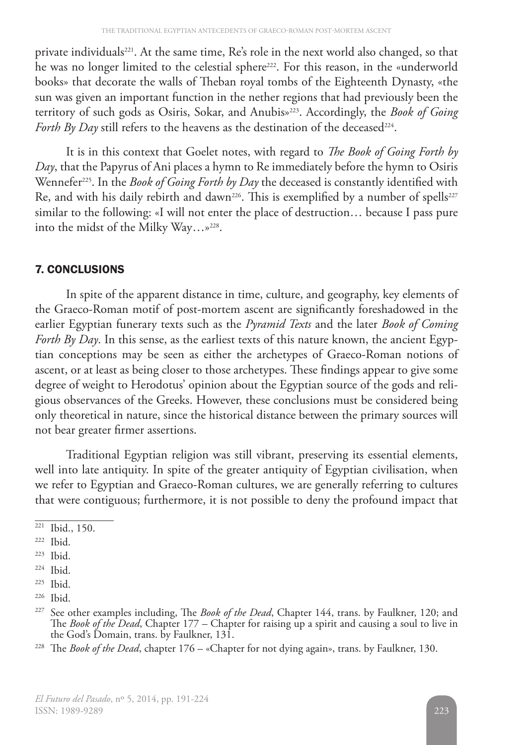private individuals<sup>221</sup>. At the same time, Re's role in the next world also changed, so that he was no longer limited to the celestial sphere<sup>222</sup>. For this reason, in the «underworld books» that decorate the walls of Theban royal tombs of the Eighteenth Dynasty, «the sun was given an important function in the nether regions that had previously been the territory of such gods as Osiris, Sokar, and Anubis»223. Accordingly, the *Book of Going Forth By Day* still refers to the heavens as the destination of the deceased<sup>224</sup>.

It is in this context that Goelet notes, with regard to *The Book of Going Forth by Day*, that the Papyrus of Ani places a hymn to Re immediately before the hymn to Osiris Wennefer<sup>225</sup>. In the *Book of Going Forth by Day* the deceased is constantly identified with Re, and with his daily rebirth and dawn<sup>226</sup>. This is exemplified by a number of spells<sup>227</sup> similar to the following: «I will not enter the place of destruction… because I pass pure into the midst of the Milky Way...»<sup>228</sup>.

# 7. CONCLUSIONS

In spite of the apparent distance in time, culture, and geography, key elements of the Graeco-Roman motif of post-mortem ascent are significantly foreshadowed in the earlier Egyptian funerary texts such as the *Pyramid Texts* and the later *Book of Coming Forth By Day*. In this sense, as the earliest texts of this nature known, the ancient Egyptian conceptions may be seen as either the archetypes of Graeco-Roman notions of ascent, or at least as being closer to those archetypes. These findings appear to give some degree of weight to Herodotus' opinion about the Egyptian source of the gods and religious observances of the Greeks. However, these conclusions must be considered being only theoretical in nature, since the historical distance between the primary sources will not bear greater firmer assertions.

Traditional Egyptian religion was still vibrant, preserving its essential elements, well into late antiquity. In spite of the greater antiquity of Egyptian civilisation, when we refer to Egyptian and Graeco-Roman cultures, we are generally referring to cultures that were contiguous; furthermore, it is not possible to deny the profound impact that

<sup>221</sup> Ibid., 150.

<sup>222</sup> Ibid.

<sup>223</sup> Ibid.

 $224$  Ibid.

<sup>225</sup> Ibid.

<sup>226</sup> Ibid.

<sup>227</sup> See other examples including, The *Book of the Dead*, Chapter 144, trans. by Faulkner, 120; and The *Book of the Dead*, Chapter 177 – Chapter for raising up a spirit and causing a soul to live in the God's Domain, trans. by Faulkner, 131.

<sup>228</sup> The *Book of the Dead*, chapter 176 – «Chapter for not dying again», trans. by Faulkner, 130.